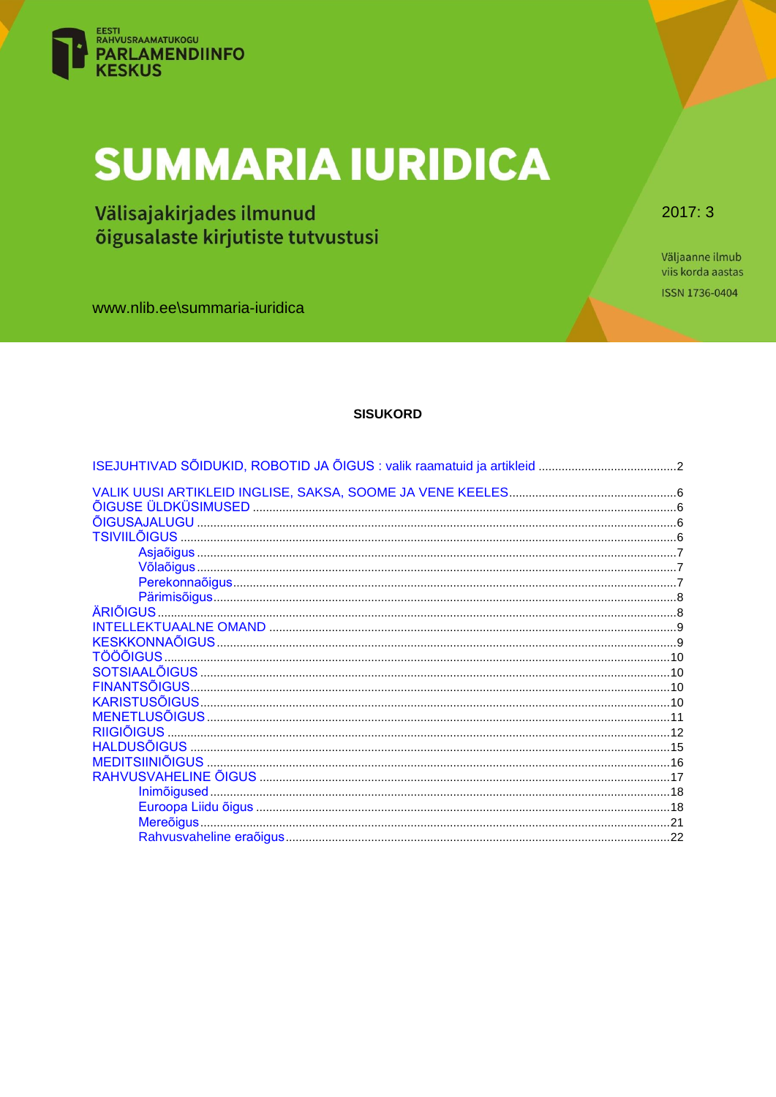

# **SUMMARIA IURIDICA**

Välisajakirjades ilmunud õigusalaste kirjutiste tutvustusi

 $2017:3$ 

Väljaanne ilmub viis korda aastas ISSN 1736-0404

www.nlib.ee\summaria-iuridica

# **SISUKORD**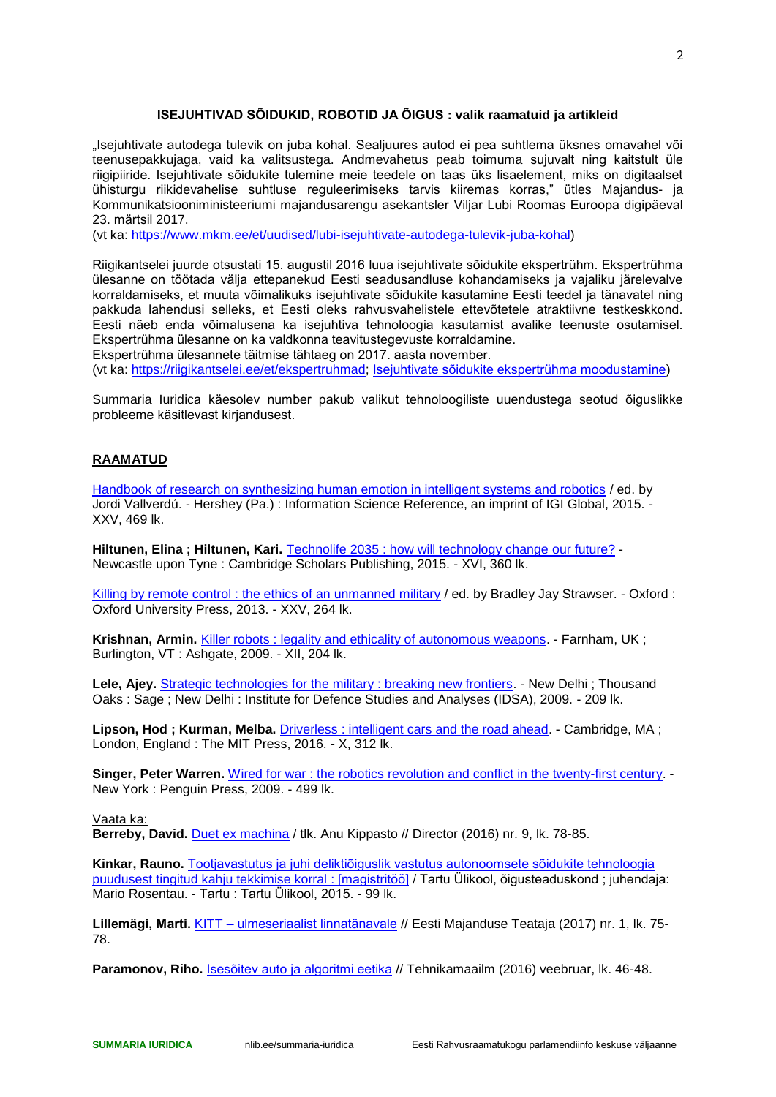## **ISEJUHTIVAD SÕIDUKID, ROBOTID JA ÕIGUS : valik raamatuid ja artikleid**

<span id="page-1-0"></span>"Isejuhtivate autodega tulevik on juba kohal. Sealjuures autod ei pea suhtlema üksnes omavahel või teenusepakkujaga, vaid ka valitsustega. Andmevahetus peab toimuma sujuvalt ning kaitstult üle riigipiiride. Isejuhtivate sõidukite tulemine meie teedele on taas üks lisaelement, miks on digitaalset ühisturgu riikidevahelise suhtluse reguleerimiseks tarvis kiiremas korras," ütles Majandus- ja Kommunikatsiooniministeeriumi majandusarengu asekantsler Viljar Lubi Roomas Euroopa digipäeval 23. märtsil 2017.

(vt ka: [https://www.mkm.ee/et/uudised/lubi-isejuhtivate-autodega-tulevik-juba-kohal\)](https://www.mkm.ee/et/uudised/lubi-isejuhtivate-autodega-tulevik-juba-kohal)

Riigikantselei juurde otsustati 15. augustil 2016 luua isejuhtivate sõidukite ekspertrühm. Ekspertrühma ülesanne on töötada välja ettepanekud Eesti seadusandluse kohandamiseks ja vajaliku järelevalve korraldamiseks, et muuta võimalikuks isejuhtivate sõidukite kasutamine Eesti teedel ja tänavatel ning pakkuda lahendusi selleks, et Eesti oleks rahvusvahelistele ettevõtetele atraktiivne testkeskkond. Eesti näeb enda võimalusena ka isejuhtiva tehnoloogia kasutamist avalike teenuste osutamisel. Ekspertrühma ülesanne on ka valdkonna teavitustegevuste korraldamine.

Ekspertrühma ülesannete täitmise tähtaeg on 2017. aasta november.

(vt ka: [https://riigikantselei.ee/et/ekspertruhmad;](https://riigikantselei.ee/et/ekspertruhmad) [Isejuhtivate sõidukite ekspertrühma moodustamine\)](https://dhs.riigikantselei.ee/avalikteave.nsf/documents/NT002B29BE/$file/RS1656.pdf)

Summaria Iuridica käesolev number pakub valikut tehnoloogiliste uuendustega seotud õiguslikke probleeme käsitlevast kirjandusest.

## **RAAMATUD**

[Handbook of research on synthesizing human emotion in intelligent systems and robotics](http://www.ester.ee/record=b4558164*est) / ed. by Jordi Vallverdú. - Hershey (Pa.) : Information Science Reference, an imprint of IGI Global, 2015. - XXV, 469 lk.

**Hiltunen, Elina ; Hiltunen, Kari.** [Technolife 2035 : how will technology change](http://www.ester.ee/record=b4473221*est) our future? - Newcastle upon Tyne : Cambridge Scholars Publishing, 2015. - XVI, 360 lk.

[Killing by remote control : the ethics of an unmanned military](http://www.ester.ee/record=b3519273*est) / ed. by Bradley Jay Strawser. - Oxford : Oxford University Press, 2013. - XXV, 264 lk.

**Krishnan, Armin.** [Killer robots : legality and ethicality of autonomous weapons.](http://www.ester.ee/record=b4414639*est) - Farnham, UK ; Burlington, VT : Ashgate, 2009. - XII, 204 lk.

Lele, Ajey. [Strategic technologies for the military : breaking new frontiers.](http://www.ester.ee/record=b3474795*est) - New Delhi ; Thousand Oaks : Sage ; New Delhi : Institute for Defence Studies and Analyses (IDSA), 2009. - 209 lk.

**Lipson, Hod ; Kurman, Melba.** [Driverless : intelligent cars and the road ahead.](http://www.ester.ee/record=b4620212*est) - Cambridge, MA ; London, England : The MIT Press, 2016. - X, 312 lk.

**Singer, Peter Warren.** Wired for war: the robotics revolution and conflict in the twenty-first century. -New York : Penguin Press, 2009. - 499 lk.

Vaata ka:

**Berreby, David.** [Duet ex machina](http://ise.elnet.ee/record=b2887259~S2*est) / tlk. Anu Kippasto // Director (2016) nr. 9, lk. 78-85.

**Kinkar, Rauno.** [Tootjavastutus ja juhi deliktiõiguslik vastutus autonoomsete sõidukite tehnoloogia](http://ise.elnet.ee/record=b2828080~S15*est)  [puudusest tingitud kahju tekkimise korral](http://ise.elnet.ee/record=b2828080~S15*est) : [magistritöö] / Tartu Ülikool, õigusteaduskond ; juhendaja: Mario Rosentau. - Tartu : Tartu Ülikool, 2015. - 99 lk.

**Lillemägi, Marti.** KITT – [ulmeseriaalist linnatänavale](http://ise.elnet.ee/record=b2904501~S2*est) // Eesti Majanduse Teataja (2017) nr. 1, lk. 75- 78.

**Paramonov, Riho.** [Isesõitev auto ja algoritmi eetika](http://ise.elnet.ee/record=b2837712~S2*est) // Tehnikamaailm (2016) veebruar, lk. 46-48.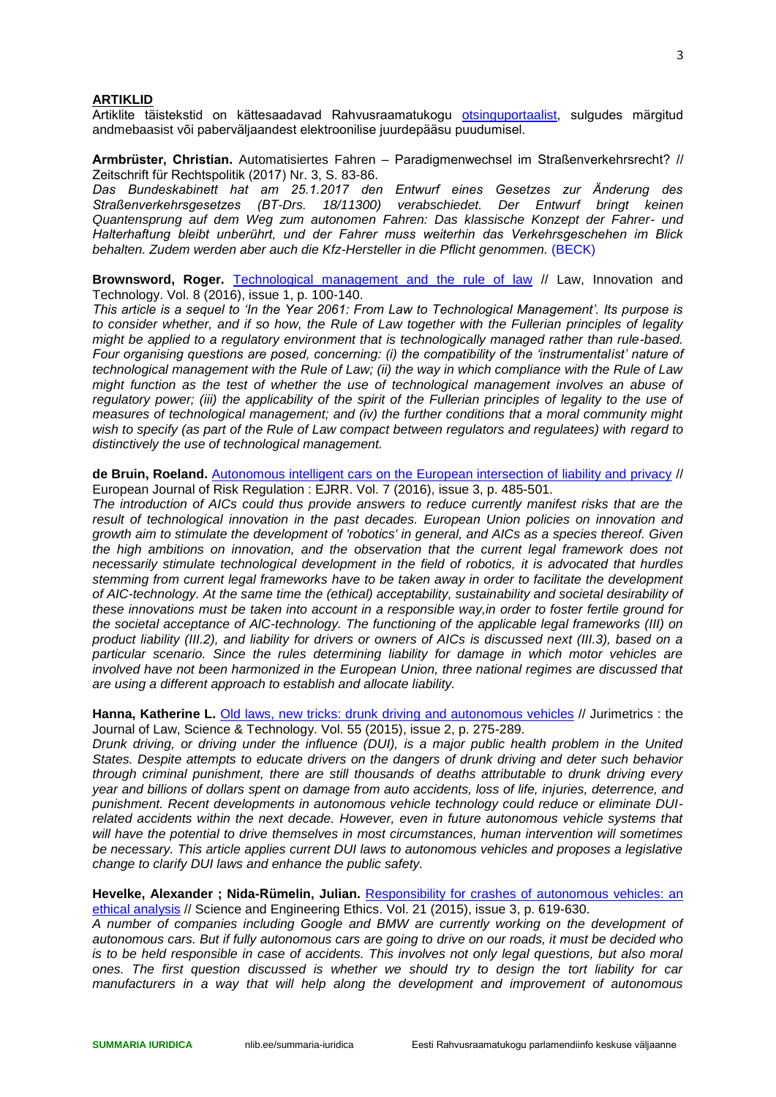#### **ARTIKLID**

Artiklite täistekstid on kättesaadavad Rahvusraamatukogu [otsinguportaalist,](https://pmt-eu03.hosted.exlibrisgroup.com/primo-explore/search?vid=372NLE_V1&sortby=rank&lang=et_EE) sulgudes märgitud andmebaasist või paberväljaandest elektroonilise juurdepääsu puudumisel.

**Armbrüster, Christian.** Automatisiertes Fahren – Paradigmenwechsel im Straßenverkehrsrecht? // Zeitschrift für Rechtspolitik (2017) Nr. 3, S. 83-86.

*Das Bundeskabinett hat am 25.1.2017 den Entwurf eines Gesetzes zur Änderung des Straßenverkehrsgesetzes (BT-Drs. 18/11300) verabschiedet. Der Entwurf bringt keinen Quantensprung auf dem Weg zum autonomen Fahren: Das klassische Konzept der Fahrer- und Halterhaftung bleibt unberührt, und der Fahrer muss weiterhin das Verkehrsgeschehen im Blick behalten. Zudem werden aber auch die Kfz-Hersteller in die Pflicht genommen.* (BECK)

**Brownsword, Roger.** [Technological management and the rule of law](https://nlib-ee-primo.hosted.exlibrisgroup.com/primo-explore/fulldisplay?docid=TN_tayfranc10.1080/17579961.2016.1161891&context=PC&vid=372NLE_V1&search_scope=all_scope&tab=default_tab&lang=et_EE) // Law, Innovation and Technology. Vol. 8 (2016), issue 1, p. 100-140.

*This article is a sequel to 'In the Year 2061: From Law to Technological Management'. Its purpose is to consider whether, and if so how, the Rule of Law together with the Fullerian principles of legality might be applied to a regulatory environment that is technologically managed rather than rule-based. Four organising questions are posed, concerning: (i) the compatibility of the 'instrumentalist' nature of technological management with the Rule of Law; (ii) the way in which compliance with the Rule of Law might function as the test of whether the use of technological management involves an abuse of*  regulatory power; (iii) the applicability of the spirit of the Fullerian principles of legality to the use of *measures of technological management; and (iv) the further conditions that a moral community might wish to specify (as part of the Rule of Law compact between regulators and regulatees) with regard to distinctively the use of technological management.*

**de Bruin, Roeland.** [Autonomous intelligent cars on the European intersection of liability and privacy](https://nlib-ee-primo.hosted.exlibrisgroup.com/primo-explore/fulldisplay?docid=TN_proquest1830261810&context=PC&vid=372NLE_V1&search_scope=all_scope&tab=default_tab&lang=et_EE) // European Journal of Risk Regulation : EJRR. Vol. 7 (2016), issue 3, p. 485-501.

*The introduction of AICs could thus provide answers to reduce currently manifest risks that are the result of technological innovation in the past decades. European Union policies on innovation and growth aim to stimulate the development of 'robotics' in general, and AICs as a species thereof. Given the high ambitions on innovation, and the observation that the current legal framework does not necessarily stimulate technological development in the field of robotics, it is advocated that hurdles stemming from current legal frameworks have to be taken away in order to facilitate the development of AIC-technology. At the same time the (ethical) acceptability, sustainability and societal desirability of these innovations must be taken into account in a responsible way,in order to foster fertile ground for the societal acceptance of AlC-technology. The functioning of the applicable legal frameworks (III) on product liability (III.2), and liability for drivers or owners of AICs is discussed next (III.3), based on a particular scenario. Since the rules determining liability for damage in which motor vehicles are involved have not been harmonized in the European Union, three national regimes are discussed that are using a different approach to establish and allocate liability.* 

**Hanna, Katherine L.** [Old laws, new tricks: drunk driving and autonomous vehicles](https://nlib-ee-primo.hosted.exlibrisgroup.com/primo-explore/fulldisplay?docid=TN_proquest1727962484&context=PC&vid=372NLE_V1&search_scope=all_scope&tab=default_tab&lang=et_EE) // Jurimetrics : the Journal of Law, Science & Technology. Vol. 55 (2015), issue 2, p. 275-289.

*Drunk driving, or driving under the influence (DUI), is a major public health problem in the United States. Despite attempts to educate drivers on the dangers of drunk driving and deter such behavior through criminal punishment, there are still thousands of deaths attributable to drunk driving every year and billions of dollars spent on damage from auto accidents, loss of life, injuries, deterrence, and punishment. Recent developments in autonomous vehicle technology could reduce or eliminate DUI*related accidents within the next decade. However, even in future autonomous vehicle systems that *will have the potential to drive themselves in most circumstances, human intervention will sometimes be necessary. This article applies current DUI laws to autonomous vehicles and proposes a legislative change to clarify DUI laws and enhance the public safety.*

**Hevelke, Alexander ; Nida-Rümelin, Julian.** [Responsibility for crashes of autonomous vehicles: an](https://nlib-ee-primo.hosted.exlibrisgroup.com/primo-explore/fulldisplay?docid=TN_springer_jour10.1007/s11948-014-9565-5&context=PC&vid=372NLE_V1&search_scope=all_scope&tab=default_tab&lang=et_EE)  [ethical analysis](https://nlib-ee-primo.hosted.exlibrisgroup.com/primo-explore/fulldisplay?docid=TN_springer_jour10.1007/s11948-014-9565-5&context=PC&vid=372NLE_V1&search_scope=all_scope&tab=default_tab&lang=et_EE) // Science and Engineering Ethics. Vol. 21 (2015), issue 3, p. 619-630.

*A number of companies including Google and BMW are currently working on the development of autonomous cars. But if fully autonomous cars are going to drive on our roads, it must be decided who is to be held responsible in case of accidents. This involves not only legal questions, but also moral ones. The first question discussed is whether we should try to design the tort liability for car manufacturers in a way that will help along the development and improvement of autonomous*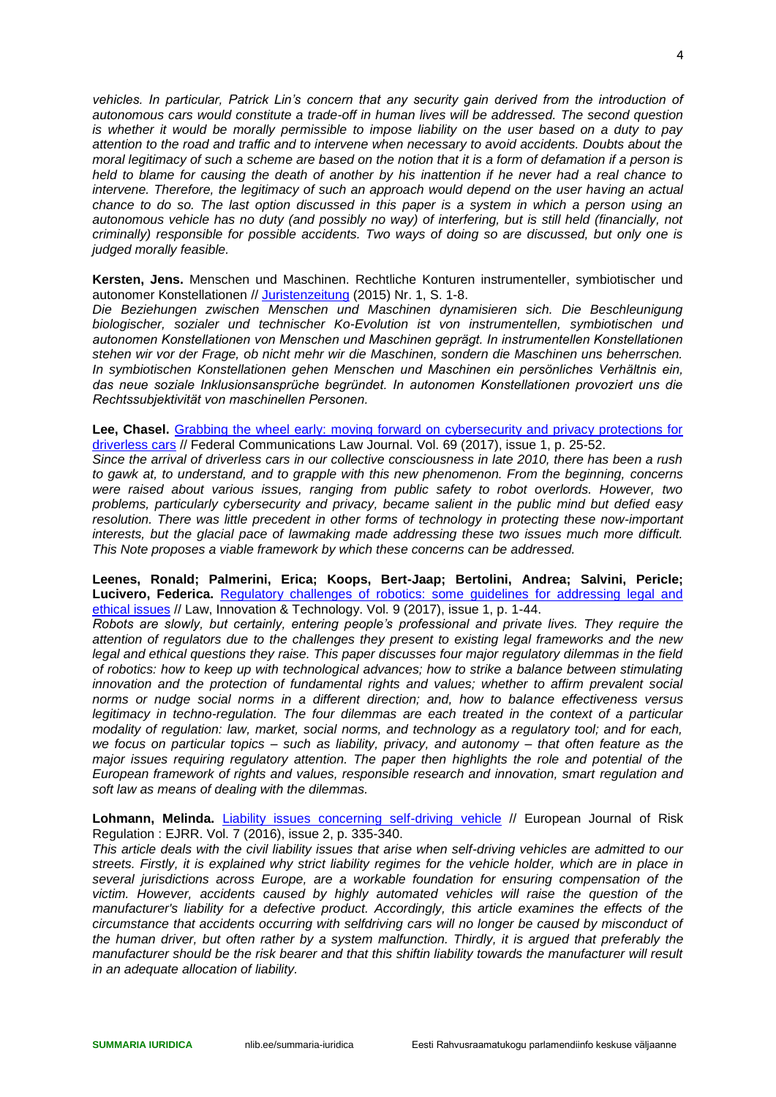*vehicles. In particular, Patrick Lin's concern that any security gain derived from the introduction of autonomous cars would constitute a trade-off in human lives will be addressed. The second question is whether it would be morally permissible to impose liability on the user based on a duty to pay attention to the road and traffic and to intervene when necessary to avoid accidents. Doubts about the moral legitimacy of such a scheme are based on the notion that it is a form of defamation if a person is held to blame for causing the death of another by his inattention if he never had a real chance to intervene. Therefore, the legitimacy of such an approach would depend on the user having an actual chance to do so. The last option discussed in this paper is a system in which a person using an autonomous vehicle has no duty (and possibly no way) of interfering, but is still held (financially, not criminally) responsible for possible accidents. Two ways of doing so are discussed, but only one is judged morally feasible.*

**Kersten, Jens.** Menschen und Maschinen. Rechtliche Konturen instrumenteller, symbiotischer und autonomer Konstellationen // [Juristenzeitung](http://www.ester.ee/record=b1201037*est) (2015) Nr. 1, S. 1-8.

*Die Beziehungen zwischen Menschen und Maschinen dynamisieren sich. Die Beschleunigung biologischer, sozialer und technischer Ko-Evolution ist von instrumentellen, symbiotischen und autonomen Konstellationen von Menschen und Maschinen geprägt. In instrumentellen Konstellationen stehen wir vor der Frage, ob nicht mehr wir die Maschinen, sondern die Maschinen uns beherrschen. In symbiotischen Konstellationen gehen Menschen und Maschinen ein persönliches Verhältnis ein, das neue soziale Inklusionsansprüche begründet. In autonomen Konstellationen provoziert uns die Rechtssubjektivität von maschinellen Personen.*

**Lee, Chasel.** [Grabbing the wheel early: moving forward on cybersecurity and privacy protections for](https://nlib-ee-primo.hosted.exlibrisgroup.com/primo-explore/fulldisplay?docid=TN_proquest1900793877&context=PC&vid=372NLE_V1&search_scope=all_scope&tab=default_tab&lang=et_EE)  [driverless cars](https://nlib-ee-primo.hosted.exlibrisgroup.com/primo-explore/fulldisplay?docid=TN_proquest1900793877&context=PC&vid=372NLE_V1&search_scope=all_scope&tab=default_tab&lang=et_EE) // Federal Communications Law Journal. Vol. 69 (2017), issue 1, p. 25-52.

*Since the arrival of driverless cars in our collective consciousness in late 2010, there has been a rush to gawk at, to understand, and to grapple with this new phenomenon. From the beginning, concerns were raised about various issues, ranging from public safety to robot overlords. However, two problems, particularly cybersecurity and privacy, became salient in the public mind but defied easy resolution. There was little precedent in other forms of technology in protecting these now-important interests, but the glacial pace of lawmaking made addressing these two issues much more difficult. This Note proposes a viable framework by which these concerns can be addressed.*

**Leenes, Ronald; Palmerini, Erica; Koops, Bert-Jaap; Bertolini, Andrea; Salvini, Pericle; Lucivero, Federica.** [Regulatory challenges of robotics: some guidelines for addressing legal and](https://nlib-ee-primo.hosted.exlibrisgroup.com/primo-explore/fulldisplay?docid=TN_crossref10.1080/17579961.2017.1304921&context=PC&vid=372NLE_V1&search_scope=all_scope&tab=default_tab&lang=et_EE)  [ethical issues](https://nlib-ee-primo.hosted.exlibrisgroup.com/primo-explore/fulldisplay?docid=TN_crossref10.1080/17579961.2017.1304921&context=PC&vid=372NLE_V1&search_scope=all_scope&tab=default_tab&lang=et_EE) // Law, Innovation & Technology. Vol. 9 (2017), issue 1, p. 1-44.

*Robots are slowly, but certainly, entering people's professional and private lives. They require the attention of regulators due to the challenges they present to existing legal frameworks and the new legal and ethical questions they raise. This paper discusses four major regulatory dilemmas in the field of robotics: how to keep up with technological advances; how to strike a balance between stimulating innovation and the protection of fundamental rights and values; whether to affirm prevalent social norms or nudge social norms in a different direction; and, how to balance effectiveness versus*  legitimacy in techno-regulation. The four dilemmas are each treated in the context of a particular *modality of regulation: law, market, social norms, and technology as a regulatory tool; and for each, we focus on particular topics – such as liability, privacy, and autonomy – that often feature as the major issues requiring regulatory attention. The paper then highlights the role and potential of the European framework of rights and values, responsible research and innovation, smart regulation and soft law as means of dealing with the dilemmas.* 

Lohmann, Melinda. [Liability issues concerning self-driving vehicle](https://nlib-ee-primo.hosted.exlibrisgroup.com/primo-explore/fulldisplay?docid=TN_proquest1803413779&context=PC&vid=372NLE_V1&search_scope=all_scope&tab=default_tab&lang=et_EE) // European Journal of Risk Regulation : EJRR. Vol. 7 (2016), issue 2, p. 335-340.

*This article deals with the civil liability issues that arise when self-driving vehicles are admitted to our streets. Firstly, it is explained why strict liability regimes for the vehicle holder, which are in place in several jurisdictions across Europe, are a workable foundation for ensuring compensation of the victim. However, accidents caused by highly automated vehicles will raise the question of the manufacturer's liability for a defective product. Accordingly, this article examines the effects of the circumstance that accidents occurring with selfdriving cars will no longer be caused by misconduct of the human driver, but often rather by a system malfunction. Thirdly, it is argued that preferably the manufacturer should be the risk bearer and that this shiftin liability towards the manufacturer will result in an adequate allocation of liability.*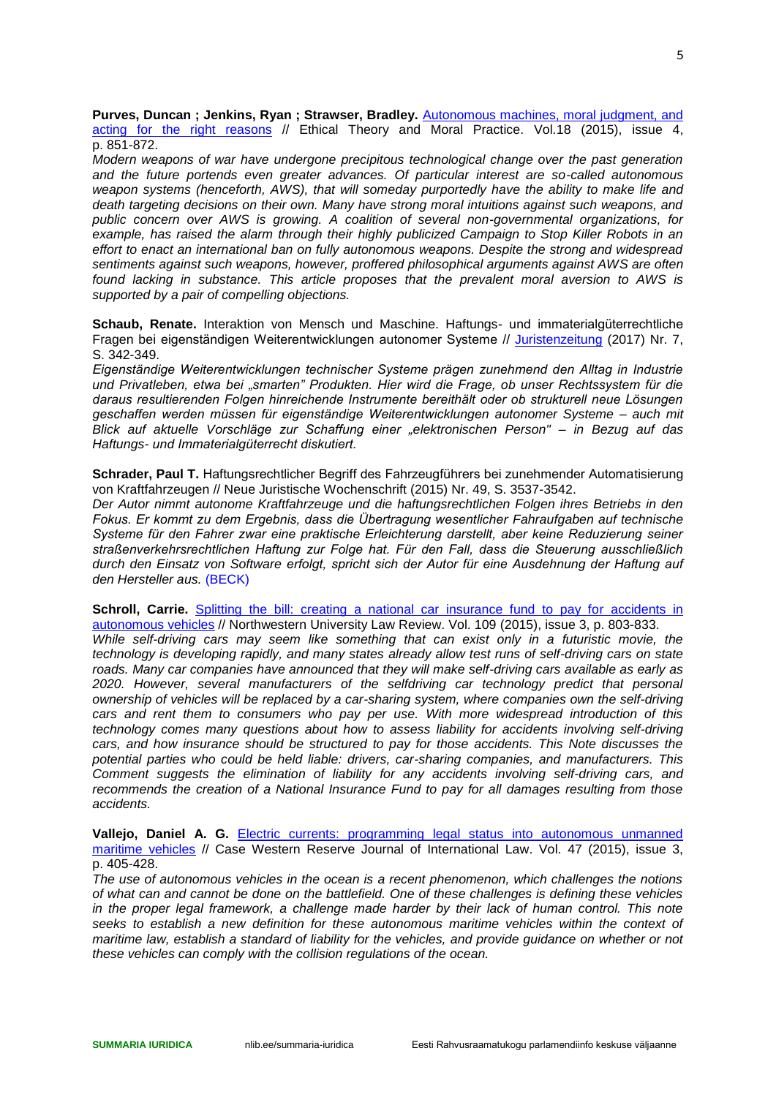**Purves, Duncan ; Jenkins, Ryan ; Strawser, Bradley.** [Autonomous machines, moral judgment, and](https://nlib-ee-primo.hosted.exlibrisgroup.com/primo-explore/fulldisplay?docid=TN_springer_jour10.1007/s10677-015-9563-y&context=PC&vid=372NLE_V1&search_scope=all_scope&tab=default_tab&lang=et_EE)  [acting for the right reasons](https://nlib-ee-primo.hosted.exlibrisgroup.com/primo-explore/fulldisplay?docid=TN_springer_jour10.1007/s10677-015-9563-y&context=PC&vid=372NLE_V1&search_scope=all_scope&tab=default_tab&lang=et_EE) // Ethical Theory and Moral Practice. Vol.18 (2015), issue 4, p. 851-872.

*Modern weapons of war have undergone precipitous technological change over the past generation and the future portends even greater advances. Of particular interest are so-called autonomous weapon systems (henceforth, AWS), that will someday purportedly have the ability to make life and death targeting decisions on their own. Many have strong moral intuitions against such weapons, and public concern over AWS is growing. A coalition of several non-governmental organizations, for example, has raised the alarm through their highly publicized Campaign to Stop Killer Robots in an effort to enact an international ban on fully autonomous weapons. Despite the strong and widespread sentiments against such weapons, however, proffered philosophical arguments against AWS are often found lacking in substance. This article proposes that the prevalent moral aversion to AWS is supported by a pair of compelling objections.*

**Schaub, Renate.** Interaktion von Mensch und Maschine. Haftungs- und immaterialgüterrechtliche Fragen bei eigenständigen Weiterentwicklungen autonomer Systeme // [Juristenzeitung](http://www.ester.ee/record=b1201037*est) (2017) Nr. 7, S. 342-349.

*Eigenständige Weiterentwicklungen technischer Systeme prägen zunehmend den Alltag in Industrie und Privatleben, etwa bei "smarten" Produkten. Hier wird die Frage, ob unser Rechtssystem für die daraus resultierenden Folgen hinreichende Instrumente bereithält oder ob strukturell neue Lösungen geschaffen werden müssen für eigenständige Weiterentwicklungen autonomer Systeme – auch mit Blick auf aktuelle Vorschläge zur Schaffung einer "elektronischen Person" – in Bezug auf das Haftungs- und Immaterialgüterrecht diskutiert.*

**Schrader, Paul T.** Haftungsrechtlicher Begriff des Fahrzeugführers bei zunehmender Automatisierung von Kraftfahrzeugen // Neue Juristische Wochenschrift (2015) Nr. 49, S. 3537-3542.

*Der Autor nimmt autonome Kraftfahrzeuge und die haftungsrechtlichen Folgen ihres Betriebs in den Fokus. Er kommt zu dem Ergebnis, dass die Übertragung wesentlicher Fahraufgaben auf technische Systeme für den Fahrer zwar eine praktische Erleichterung darstellt, aber keine Reduzierung seiner straßenverkehrsrechtlichen Haftung zur Folge hat. Für den Fall, dass die Steuerung ausschließlich durch den Einsatz von Software erfolgt, spricht sich der Autor für eine Ausdehnung der Haftung auf den Hersteller aus.* (BECK)

**Schroll, Carrie.** Splitting the bill: creating a national car insurance fund to pay for accidents in [autonomous vehicles](https://nlib-ee-primo.hosted.exlibrisgroup.com/primo-explore/fulldisplay?docid=TN_proquest1722655919&context=PC&vid=372NLE_V1&search_scope=all_scope&tab=default_tab&lang=et_EE) // Northwestern University Law Review. Vol. 109 (2015), issue 3, p. 803-833.

*While self-driving cars may seem like something that can exist only in a futuristic movie, the technology is developing rapidly, and many states already allow test runs of self-driving cars on state roads. Many car companies have announced that they will make self-driving cars available as early as*  2020. However, several manufacturers of the selfdriving car technology predict that personal *ownership of vehicles will be replaced by a car-sharing system, where companies own the self-driving cars and rent them to consumers who pay per use. With more widespread introduction of this technology comes many questions about how to assess liability for accidents involving self-driving cars, and how insurance should be structured to pay for those accidents. This Note discusses the potential parties who could be held liable: drivers, car-sharing companies, and manufacturers. This Comment suggests the elimination of liability for any accidents involving self-driving cars, and recommends the creation of a National Insurance Fund to pay for all damages resulting from those accidents.*

**Vallejo, Daniel A. G.** [Electric currents: programming legal status into autonomous unmanned](https://nlib-ee-primo.hosted.exlibrisgroup.com/primo-explore/fulldisplay?docid=TN_proquest1696877000&context=PC&vid=372NLE_V1&search_scope=all_scope&tab=default_tab&lang=et_EE)  [maritime vehicles](https://nlib-ee-primo.hosted.exlibrisgroup.com/primo-explore/fulldisplay?docid=TN_proquest1696877000&context=PC&vid=372NLE_V1&search_scope=all_scope&tab=default_tab&lang=et_EE) // Case Western Reserve Journal of International Law. Vol. 47 (2015), issue 3, p. 405-428.

*The use of autonomous vehicles in the ocean is a recent phenomenon, which challenges the notions of what can and cannot be done on the battlefield. One of these challenges is defining these vehicles in the proper legal framework, a challenge made harder by their lack of human control. This note*  seeks to establish a new definition for these autonomous maritime vehicles within the context of *maritime law, establish a standard of liability for the vehicles, and provide guidance on whether or not these vehicles can comply with the collision regulations of the ocean.*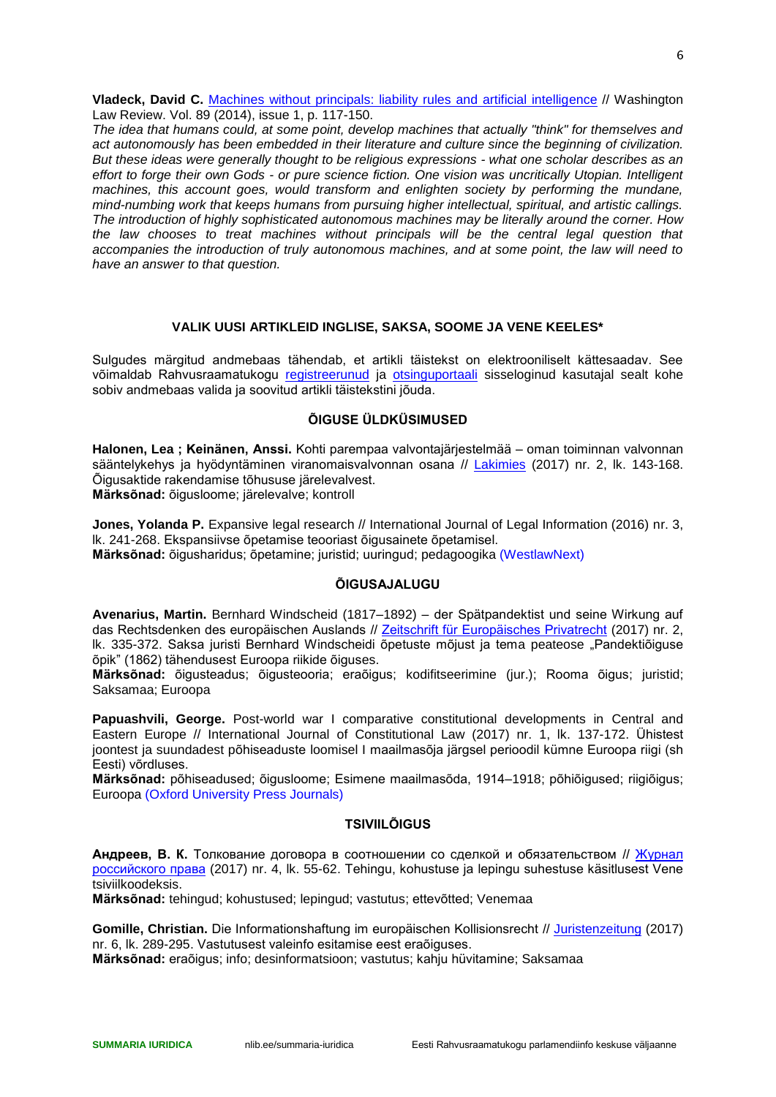**Vladeck, David C.** [Machines without principals: liability rules and artificial intelligence](https://nlib-ee-primo.hosted.exlibrisgroup.com/primo-explore/fulldisplay?docid=TN_proquest1518882446&context=PC&vid=372NLE_V1&search_scope=all_scope&tab=default_tab&lang=et_EE) // Washington Law Review. Vol. 89 (2014), issue 1, p. 117-150.

*The idea that humans could, at some point, develop machines that actually "think" for themselves and act autonomously has been embedded in their literature and culture since the beginning of civilization. But these ideas were generally thought to be religious expressions - what one scholar describes as an effort to forge their own Gods - or pure science fiction. One vision was uncritically Utopian. Intelligent machines, this account goes, would transform and enlighten society by performing the mundane, mind-numbing work that keeps humans from pursuing higher intellectual, spiritual, and artistic callings. The introduction of highly sophisticated autonomous machines may be literally around the corner. How the law chooses to treat machines without principals will be the central legal question that accompanies the introduction of truly autonomous machines, and at some point, the law will need to have an answer to that question.*

## **VALIK UUSI ARTIKLEID INGLISE, SAKSA, SOOME JA VENE KEELES\***

<span id="page-5-0"></span>Sulgudes märgitud andmebaas tähendab, et artikli täistekst on elektrooniliselt kättesaadav. See võimaldab Rahvusraamatukogu [registreerunud](http://www.nlib.ee/lugejaks-registreerimine/index.php?id=24391) ja [otsinguportaali](https://pmt-eu03.hosted.exlibrisgroup.com/primo-explore/search?vid=372NLE_V1&sortby=rank&lang=et_EE) sisseloginud kasutajal sealt kohe sobiv andmebaas valida ja soovitud artikli täistekstini jõuda.

## **ÕIGUSE ÜLDKÜSIMUSED**

<span id="page-5-1"></span>**Halonen, Lea ; Keinänen, Anssi.** Kohti parempaa valvontajärjestelmää – oman toiminnan valvonnan sääntelykehys ja hyödyntäminen viranomaisvalvonnan osana // [Lakimies](http://www.ester.ee/record=b1201160*est) (2017) nr. 2, lk. 143-168. Õigusaktide rakendamise tõhususe järelevalvest. **Märksõnad:** õigusloome; järelevalve; kontroll

**Jones, Yolanda P.** Expansive legal research // International Journal of Legal Information (2016) nr. 3, lk. 241-268. Ekspansiivse õpetamise teooriast õigusainete õpetamisel. **Märksõnad:** õigusharidus; õpetamine; juristid; uuringud; pedagoogika (WestlawNext)

## **ÕIGUSAJALUGU**

<span id="page-5-2"></span>**Avenarius, Martin.** Bernhard Windscheid (1817–1892) – der Spätpandektist und seine Wirkung auf das Rechtsdenken des europäischen Auslands // [Zeitschrift für Europäisches Privatrecht](http://www.ester.ee/record=b1202805*est) (2017) nr. 2, lk. 335-372. Saksa juristi Bernhard Windscheidi õpetuste mõjust ja tema peateose "Pandektiõiguse õpik" (1862) tähendusest Euroopa riikide õiguses.

**Märksõnad:** õigusteadus; õigusteooria; eraõigus; kodifitseerimine (jur.); Rooma õigus; juristid; Saksamaa; Euroopa

**Papuashvili, George.** Post-world war I comparative constitutional developments in Central and Eastern Europe // International Journal of Constitutional Law (2017) nr. 1, lk. 137-172. Ühistest joontest ja suundadest põhiseaduste loomisel I maailmasõja järgsel perioodil kümne Euroopa riigi (sh Eesti) võrdluses.

**Märksõnad:** põhiseadused; õigusloome; Esimene maailmasõda, 1914–1918; põhiõigused; riigiõigus; Euroopa (Oxford University Press Journals)

# **TSIVIILÕIGUS**

<span id="page-5-3"></span>**Андреев, В. К.** Толкование договора в соотношении со сделкой и обязательством // [Журнал](http://www.ester.ee/record=b1204795*est)  [российского права](http://www.ester.ee/record=b1204795*est) (2017) nr. 4, lk. 55-62. Tehingu, kohustuse ja lepingu suhestuse käsitlusest Vene tsiviilkoodeksis.

**Märksõnad:** tehingud; kohustused; lepingud; vastutus; ettevõtted; Venemaa

**Gomille, Christian.** Die Informationshaftung im europäischen Kollisionsrecht // [Juristenzeitung](http://www.ester.ee/record=b1201037*est) (2017) nr. 6, lk. 289-295. Vastutusest valeinfo esitamise eest eraõiguses.

**Märksõnad:** eraõigus; info; desinformatsioon; vastutus; kahju hüvitamine; Saksamaa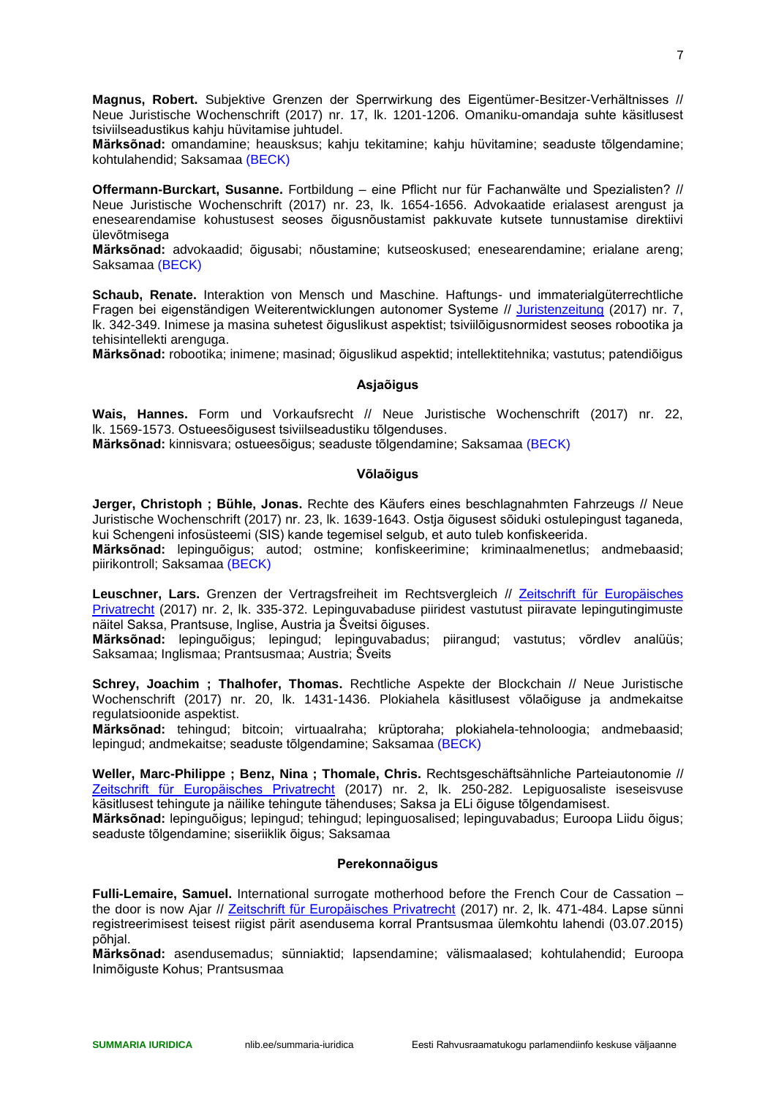**Magnus, Robert.** Subjektive Grenzen der Sperrwirkung des Eigentümer-Besitzer-Verhältnisses // Neue Juristische Wochenschrift (2017) nr. 17, lk. 1201-1206. Omaniku-omandaja suhte käsitlusest tsiviilseadustikus kahju hüvitamise juhtudel.

**Märksõnad:** omandamine; heausksus; kahju tekitamine; kahju hüvitamine; seaduste tõlgendamine; kohtulahendid; Saksamaa (BECK)

**Offermann-Burckart, Susanne.** Fortbildung – eine Pflicht nur für Fachanwälte und Spezialisten? // Neue Juristische Wochenschrift (2017) nr. 23, lk. 1654-1656. Advokaatide erialasest arengust ja enesearendamise kohustusest seoses õigusnõustamist pakkuvate kutsete tunnustamise direktiivi ülevõtmisega

**Märksõnad:** advokaadid; õigusabi; nõustamine; kutseoskused; enesearendamine; erialane areng; Saksamaa (BECK)

**Schaub, Renate.** Interaktion von Mensch und Maschine. Haftungs- und immaterialgüterrechtliche Fragen bei eigenständigen Weiterentwicklungen autonomer Systeme // [Juristenzeitung](http://www.ester.ee/record=b1201037*est) (2017) nr. 7, lk. 342-349. Inimese ja masina suhetest õiguslikust aspektist; tsiviilõigusnormidest seoses robootika ja tehisintellekti arenguga.

<span id="page-6-0"></span>**Märksõnad:** robootika; inimene; masinad; õiguslikud aspektid; intellektitehnika; vastutus; patendiõigus

#### **Asjaõigus**

**Wais, Hannes.** Form und Vorkaufsrecht // Neue Juristische Wochenschrift (2017) nr. 22, lk. 1569-1573. Ostueesõigusest tsiviilseadustiku tõlgenduses.

<span id="page-6-1"></span>**Märksõnad:** kinnisvara; ostueesõigus; seaduste tõlgendamine; Saksamaa (BECK)

#### **Võlaõigus**

**Jerger, Christoph ; Bühle, Jonas.** Rechte des Käufers eines beschlagnahmten Fahrzeugs // Neue Juristische Wochenschrift (2017) nr. 23, lk. 1639-1643. Ostja õigusest sõiduki ostulepingust taganeda, kui Schengeni infosüsteemi (SIS) kande tegemisel selgub, et auto tuleb konfiskeerida.

**Märksõnad:** lepinguõigus; autod; ostmine; konfiskeerimine; kriminaalmenetlus; andmebaasid; piirikontroll; Saksamaa (BECK)

**Leuschner, Lars.** Grenzen der Vertragsfreiheit im Rechtsvergleich // [Zeitschrift für Europäisches](http://www.ester.ee/record=b1202805*est)  [Privatrecht](http://www.ester.ee/record=b1202805*est) (2017) nr. 2, lk. 335-372. Lepinguvabaduse piiridest vastutust piiravate lepingutingimuste näitel Saksa, Prantsuse, Inglise, Austria ja Šveitsi õiguses.

**Märksõnad:** lepinguõigus; lepingud; lepinguvabadus; piirangud; vastutus; võrdlev analüüs; Saksamaa; Inglismaa; Prantsusmaa; Austria; Šveits

**Schrey, Joachim ; Thalhofer, Thomas.** Rechtliche Aspekte der Blockchain // Neue Juristische Wochenschrift (2017) nr. 20, lk. 1431-1436. Plokiahela käsitlusest võlaõiguse ja andmekaitse regulatsioonide aspektist.

**Märksõnad:** tehingud; bitcoin; virtuaalraha; krüptoraha; plokiahela-tehnoloogia; andmebaasid; lepingud; andmekaitse; seaduste tõlgendamine; Saksamaa (BECK)

**Weller, Marc-Philippe ; Benz, Nina ; Thomale, Chris.** Rechtsgeschäftsähnliche Parteiautonomie // [Zeitschrift für Europäisches Privatrecht](http://www.ester.ee/record=b1202805*est) (2017) nr. 2, lk. 250-282. Lepiguosaliste iseseisvuse käsitlusest tehingute ja näilike tehingute tähenduses; Saksa ja ELi õiguse tõlgendamisest.

**Märksõnad:** lepinguõigus; lepingud; tehingud; lepinguosalised; lepinguvabadus; Euroopa Liidu õigus; seaduste tõlgendamine; siseriiklik õigus; Saksamaa

#### **Perekonnaõigus**

<span id="page-6-2"></span>**Fulli-Lemaire, Samuel.** International surrogate motherhood before the French Cour de Cassation – the door is now Ajar // [Zeitschrift für Europäisches Privatrecht](http://www.ester.ee/record=b1202805*est) (2017) nr. 2, lk. 471-484. Lapse sünni registreerimisest teisest riigist pärit asendusema korral Prantsusmaa ülemkohtu lahendi (03.07.2015) põhjal.

**Märksõnad:** asendusemadus; sünniaktid; lapsendamine; välismaalased; kohtulahendid; Euroopa Inimõiguste Kohus; Prantsusmaa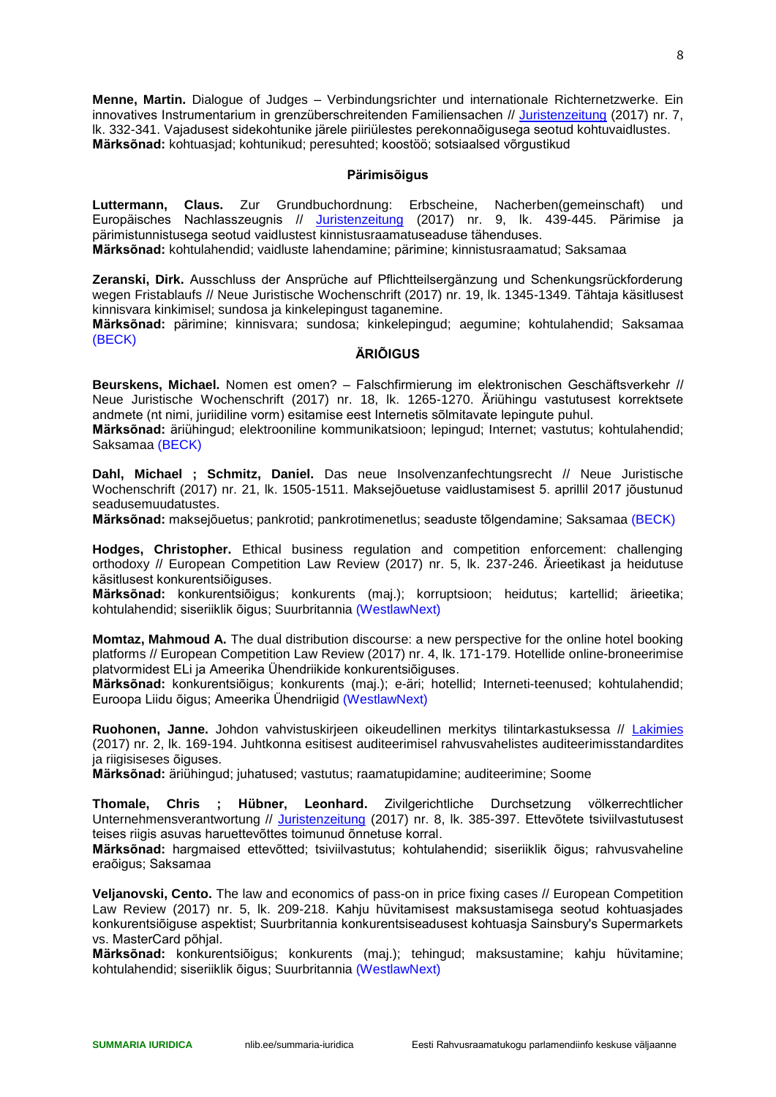**Menne, Martin.** Dialogue of Judges – Verbindungsrichter und internationale Richternetzwerke. Ein innovatives Instrumentarium in grenzüberschreitenden Familiensachen // [Juristenzeitung](http://www.ester.ee/record=b1201037*est) (2017) nr. 7, lk. 332-341. Vajadusest sidekohtunike järele piiriülestes perekonnaõigusega seotud kohtuvaidlustes. **Märksõnad:** kohtuasjad; kohtunikud; peresuhted; koostöö; sotsiaalsed võrgustikud

## **Pärimisõigus**

<span id="page-7-0"></span>**Luttermann, Claus.** Zur Grundbuchordnung: Erbscheine, Nacherben(gemeinschaft) und Europäisches Nachlasszeugnis // <u>[Juristenzeitung](http://www.ester.ee/record=b1201037*est)</u> (2017) nr. 9, lk. 439-445. Pärimise ja pärimistunnistusega seotud vaidlustest kinnistusraamatuseaduse tähenduses.

**Märksõnad:** kohtulahendid; vaidluste lahendamine; pärimine; kinnistusraamatud; Saksamaa

**Zeranski, Dirk.** Ausschluss der Ansprüche auf Pflichtteilsergänzung und Schenkungsrückforderung wegen Fristablaufs // Neue Juristische Wochenschrift (2017) nr. 19, lk. 1345-1349. Tähtaja käsitlusest kinnisvara kinkimisel; sundosa ja kinkelepingust taganemine.

<span id="page-7-1"></span>**Märksõnad:** pärimine; kinnisvara; sundosa; kinkelepingud; aegumine; kohtulahendid; Saksamaa (BECK)

## **ÄRIÕIGUS**

**Beurskens, Michael.** Nomen est omen? – Falschfirmierung im elektronischen Geschäftsverkehr // Neue Juristische Wochenschrift (2017) nr. 18, lk. 1265-1270. Äriühingu vastutusest korrektsete andmete (nt nimi, juriidiline vorm) esitamise eest Internetis sõlmitavate lepingute puhul.

**Märksõnad:** äriühingud; elektrooniline kommunikatsioon; lepingud; Internet; vastutus; kohtulahendid; Saksamaa (BECK)

**Dahl, Michael ; Schmitz, Daniel.** Das neue Insolvenzanfechtungsrecht // Neue Juristische Wochenschrift (2017) nr. 21, lk. 1505-1511. Maksejõuetuse vaidlustamisest 5. aprillil 2017 jõustunud seadusemuudatustes.

**Märksõnad:** maksejõuetus; pankrotid; pankrotimenetlus; seaduste tõlgendamine; Saksamaa (BECK)

**Hodges, Christopher.** Ethical business regulation and competition enforcement: challenging orthodoxy // European Competition Law Review (2017) nr. 5, lk. 237-246. Ärieetikast ja heidutuse käsitlusest konkurentsiõiguses.

**Märksõnad:** konkurentsiõigus; konkurents (maj.); korruptsioon; heidutus; kartellid; ärieetika; kohtulahendid; siseriiklik õigus; Suurbritannia (WestlawNext)

**Momtaz, Mahmoud A.** The dual distribution discourse: a new perspective for the online hotel booking platforms // European Competition Law Review (2017) nr. 4, lk. 171-179. Hotellide online-broneerimise platvormidest ELi ja Ameerika Ühendriikide konkurentsiõiguses.

**Märksõnad:** konkurentsiõigus; konkurents (maj.); e-äri; hotellid; Interneti-teenused; kohtulahendid; Euroopa Liidu õigus; Ameerika Ühendriigid (WestlawNext)

**Ruohonen, Janne.** Johdon vahvistuskirjeen oikeudellinen merkitys tilintarkastuksessa // [Lakimies](http://www.ester.ee/record=b1201160*est) (2017) nr. 2, lk. 169-194. Juhtkonna esitisest auditeerimisel rahvusvahelistes auditeerimisstandardites ja riigisiseses õiguses.

**Märksõnad:** äriühingud; juhatused; vastutus; raamatupidamine; auditeerimine; Soome

**Thomale, Chris ; Hübner, Leonhard.** Zivilgerichtliche Durchsetzung völkerrechtlicher Unternehmensverantwortung // [Juristenzeitung](http://www.ester.ee/record=b1201037*est) (2017) nr. 8, lk. 385-397. Ettevõtete tsiviilvastutusest teises riigis asuvas haruettevõttes toimunud õnnetuse korral.

**Märksõnad:** hargmaised ettevõtted; tsiviilvastutus; kohtulahendid; siseriiklik õigus; rahvusvaheline eraõigus; Saksamaa

**Veljanovski, Cento.** The law and economics of pass-on in price fixing cases // European Competition Law Review (2017) nr. 5, lk. 209-218. Kahju hüvitamisest maksustamisega seotud kohtuasjades konkurentsiõiguse aspektist; Suurbritannia konkurentsiseadusest kohtuasja Sainsbury's Supermarkets vs. MasterCard põhjal.

**Märksõnad:** konkurentsiõigus; konkurents (maj.); tehingud; maksustamine; kahju hüvitamine; kohtulahendid; siseriiklik õigus; Suurbritannia (WestlawNext)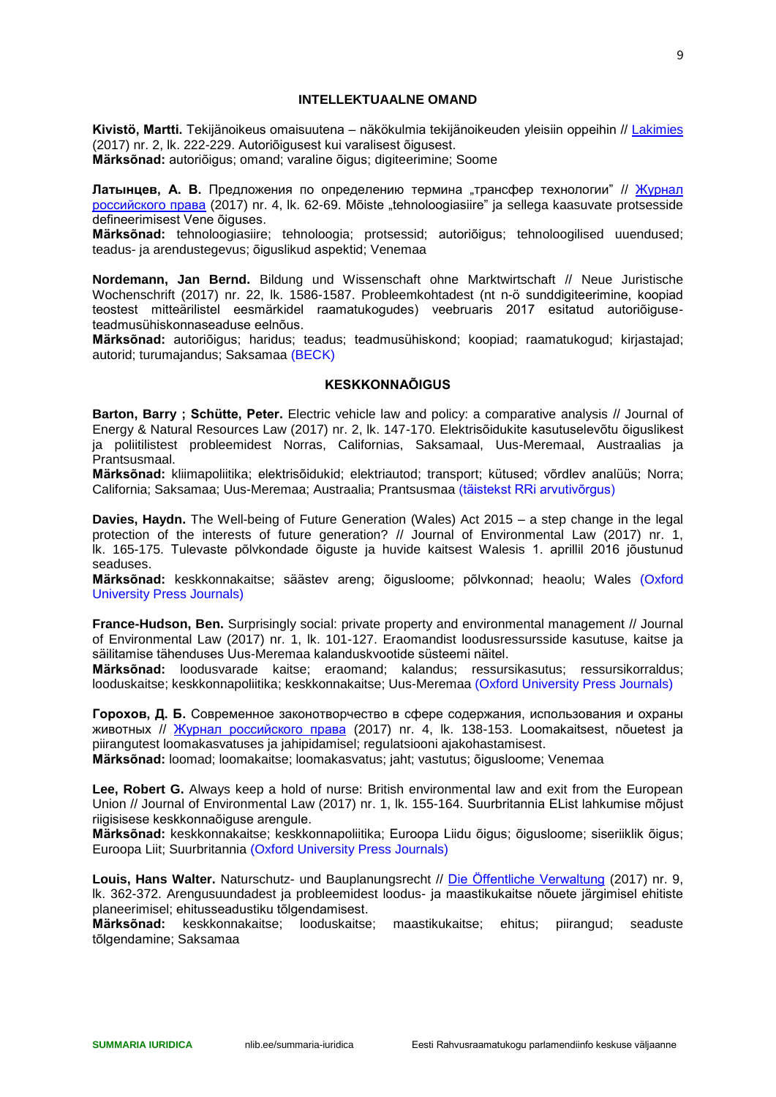#### **INTELLEKTUAALNE OMAND**

<span id="page-8-0"></span>**Kivistö, Martti.** Tekijänoikeus omaisuutena – näkökulmia tekijänoikeuden yleisiin oppeihin // [Lakimies](http://www.ester.ee/record=b1201160*est) (2017) nr. 2, lk. 222-229. Autoriõigusest kui varalisest õigusest. **Märksõnad:** autoriõigus; omand; varaline õigus; digiteerimine; Soome

**Латынцев, А. В.** Предложения по определению термина "трансфер технологии" // [Журнал](http://www.ester.ee/record=b1204795*est)  [российского права](http://www.ester.ee/record=b1204795*est) (2017) nr. 4, lk. 62-69. Mõiste "tehnoloogiasiire" ja sellega kaasuvate protsesside defineerimisest Vene õiguses.

**Märksõnad:** tehnoloogiasiire; tehnoloogia; protsessid; autoriõigus; tehnoloogilised uuendused; teadus- ja arendustegevus; õiguslikud aspektid; Venemaa

**Nordemann, Jan Bernd.** Bildung und Wissenschaft ohne Marktwirtschaft // Neue Juristische Wochenschrift (2017) nr. 22, lk. 1586-1587. Probleemkohtadest (nt n-ö sunddigiteerimine, koopiad teostest mitteärilistel eesmärkidel raamatukogudes) veebruaris 2017 esitatud autoriõiguseteadmusühiskonnaseaduse eelnõus.

**Märksõnad:** autoriõigus; haridus; teadus; teadmusühiskond; koopiad; raamatukogud; kirjastajad; autorid; turumajandus; Saksamaa (BECK)

#### **KESKKONNAÕIGUS**

<span id="page-8-1"></span>**Barton, Barry ; Schütte, Peter.** Electric vehicle law and policy: a comparative analysis // Journal of Energy & Natural Resources Law (2017) nr. 2, lk. 147-170. Elektrisõidukite kasutuselevõtu õiguslikest ja poliitilistest probleemidest Norras, Californias, Saksamaal, Uus-Meremaal, Austraalias ja Prantsusmaal.

**Märksõnad:** kliimapoliitika; elektrisõidukid; elektriautod; transport; kütused; võrdlev analüüs; Norra; California; Saksamaa; Uus-Meremaa; Austraalia; Prantsusmaa (täistekst RRi arvutivõrgus)

**Davies, Haydn.** The Well-being of Future Generation (Wales) Act 2015 – a step change in the legal protection of the interests of future generation? // Journal of Environmental Law (2017) nr. 1, lk. 165-175. Tulevaste põlvkondade õiguste ja huvide kaitsest Walesis 1. aprillil 2016 jõustunud seaduses.

**Märksõnad:** keskkonnakaitse; säästev areng; õigusloome; põlvkonnad; heaolu; Wales (Oxford University Press Journals)

**France-Hudson, Ben.** Surprisingly social: private property and environmental management // Journal of Environmental Law (2017) nr. 1, lk. 101-127. Eraomandist loodusressursside kasutuse, kaitse ja säilitamise tähenduses Uus-Meremaa kalanduskvootide süsteemi näitel.

**Märksõnad:** loodusvarade kaitse; eraomand; kalandus; ressursikasutus; ressursikorraldus; looduskaitse; keskkonnapoliitika; keskkonnakaitse; Uus-Meremaa (Oxford University Press Journals)

**Горохов, Д. Б.** Современное законотворчество в сфере содержания, использования и охраны животных // [Журнал российского права](http://www.ester.ee/record=b1204795*est) (2017) nr. 4, lk. 138-153. Loomakaitsest, nõuetest ja piirangutest loomakasvatuses ja jahipidamisel; regulatsiooni ajakohastamisest.

**Märksõnad:** loomad; loomakaitse; loomakasvatus; jaht; vastutus; õigusloome; Venemaa

**Lee, Robert G.** Always keep a hold of nurse: British environmental law and exit from the European Union // Journal of Environmental Law (2017) nr. 1, lk. 155-164. Suurbritannia EList lahkumise mõjust riigisisese keskkonnaõiguse arengule.

**Märksõnad:** keskkonnakaitse; keskkonnapoliitika; Euroopa Liidu õigus; õigusloome; siseriiklik õigus; Euroopa Liit; Suurbritannia (Oxford University Press Journals)

**Louis, Hans Walter.** Naturschutz- und Bauplanungsrecht // [Die Öffentliche Verwaltung](http://www.ester.ee/record=b1199986*est) (2017) nr. 9, lk. 362-372. Arengusuundadest ja probleemidest loodus- ja maastikukaitse nõuete järgimisel ehitiste planeerimisel; ehitusseadustiku tõlgendamisest.

**Märksõnad:** keskkonnakaitse; looduskaitse; maastikukaitse; ehitus; piirangud; seaduste tõlgendamine; Saksamaa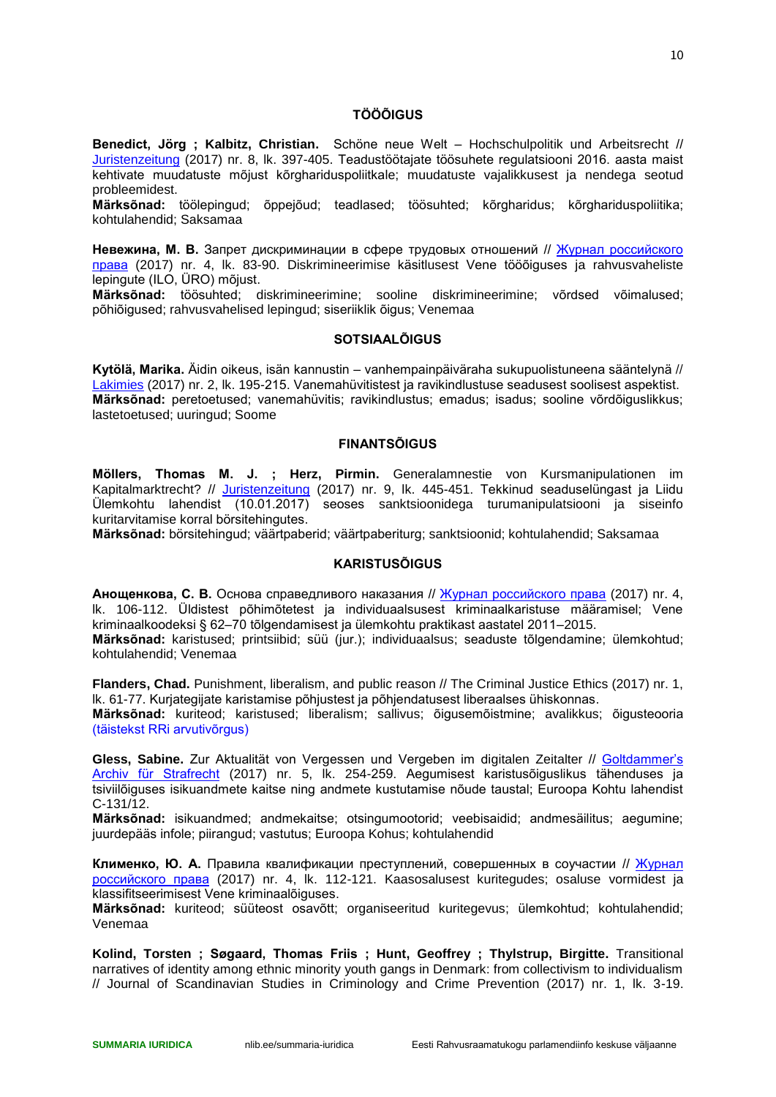## **TÖÖÕIGUS**

<span id="page-9-0"></span>**Benedict, Jörg ; Kalbitz, Christian.** Schöne neue Welt – Hochschulpolitik und Arbeitsrecht // [Juristenzeitung](http://www.ester.ee/record=b1201037*est) (2017) nr. 8, lk. 397-405. Teadustöötajate töösuhete regulatsiooni 2016. aasta maist kehtivate muudatuste mõjust kõrghariduspoliitkale; muudatuste vajalikkusest ja nendega seotud probleemidest.

**Märksõnad:** töölepingud; õppejõud; teadlased; töösuhted; kõrgharidus; kõrghariduspoliitika; kohtulahendid; Saksamaa

Невежина, М. В. Запрет дискриминации в сфере трудовых отношений // Журнал российского [права](http://www.ester.ee/record=b1204795*est) (2017) nr. 4, lk. 83-90. Diskrimineerimise käsitlusest Vene tööõiguses ja rahvusvaheliste lepingute (ILO, ÜRO) mõjust.

**Märksõnad:** töösuhted; diskrimineerimine; sooline diskrimineerimine; võrdsed võimalused; põhiõigused; rahvusvahelised lepingud; siseriiklik õigus; Venemaa

#### **SOTSIAALÕIGUS**

<span id="page-9-1"></span>**Kytölä, Marika.** Äidin oikeus, isän kannustin – vanhempainpäiväraha sukupuolistuneena sääntelynä // [Lakimies](http://www.ester.ee/record=b1201160*est) (2017) nr. 2, lk. 195-215. Vanemahüvitistest ja ravikindlustuse seadusest soolisest aspektist. **Märksõnad:** peretoetused; vanemahüvitis; ravikindlustus; emadus; isadus; sooline võrdõiguslikkus; lastetoetused; uuringud; Soome

#### **FINANTSÕIGUS**

<span id="page-9-2"></span>**Möllers, Thomas M. J. ; Herz, Pirmin.** Generalamnestie von Kursmanipulationen im Kapitalmarktrecht? // [Juristenzeitung](http://www.ester.ee/record=b1201037*est) (2017) nr. 9, lk. 445-451. Tekkinud seaduselüngast ja Liidu Ülemkohtu lahendist (10.01.2017) seoses sanktsioonidega turumanipulatsiooni ja siseinfo kuritarvitamise korral börsitehingutes.

**Märksõnad:** börsitehingud; väärtpaberid; väärtpaberiturg; sanktsioonid; kohtulahendid; Saksamaa

#### **KARISTUSÕIGUS**

<span id="page-9-3"></span>**Анощенкова, С. В.** Основа справедливого наказания // [Журнал российского права](http://www.ester.ee/record=b1204795*est) (2017) nr. 4, lk. 106-112. Üldistest põhimõtetest ja individuaalsusest kriminaalkaristuse määramisel; Vene kriminaalkoodeksi § 62–70 tõlgendamisest ja ülemkohtu praktikast aastatel 2011–2015. **Märksõnad:** karistused; printsiibid; süü (jur.); individuaalsus; seaduste tõlgendamine; ülemkohtud; kohtulahendid; Venemaa

**Flanders, Chad.** Punishment, liberalism, and public reason // The Criminal Justice Ethics (2017) nr. 1, lk. 61-77. Kurjategijate karistamise põhjustest ja põhjendatusest liberaalses ühiskonnas.

**Märksõnad:** kuriteod; karistused; liberalism; sallivus; õigusemõistmine; avalikkus; õigusteooria (täistekst RRi arvutivõrgus)

Gless, Sabine. Zur Aktualität von Vergessen und Vergeben im digitalen Zeitalter // Goltdammer's [Archiv für Strafrecht](http://www.ester.ee/record=b1200440*est) (2017) nr. 5, lk. 254-259. Aegumisest karistusõiguslikus tähenduses ja tsiviilõiguses isikuandmete kaitse ning andmete kustutamise nõude taustal; Euroopa Kohtu lahendist C-131/12.

**Märksõnad:** isikuandmed; andmekaitse; otsingumootorid; veebisaidid; andmesäilitus; aegumine; juurdepääs infole; piirangud; vastutus; Euroopa Kohus; kohtulahendid

**Клименко, Ю. А.** Правила квалификации преступлений, совершенных в соучастии // [Журнал](http://www.ester.ee/record=b1204795*est)  [российского права](http://www.ester.ee/record=b1204795*est) (2017) nr. 4, lk. 112-121. Kaasosalusest kuritegudes; osaluse vormidest ja klassifitseerimisest Vene kriminaalõiguses.

**Märksõnad:** kuriteod; süüteost osavõtt; organiseeritud kuritegevus; ülemkohtud; kohtulahendid; Venemaa

**Kolind, Torsten ; Søgaard, Thomas Friis ; Hunt, Geoffrey ; Thylstrup, Birgitte.** Transitional narratives of identity among ethnic minority youth gangs in Denmark: from collectivism to individualism // Journal of Scandinavian Studies in Criminology and Crime Prevention (2017) nr. 1, lk. 3-19.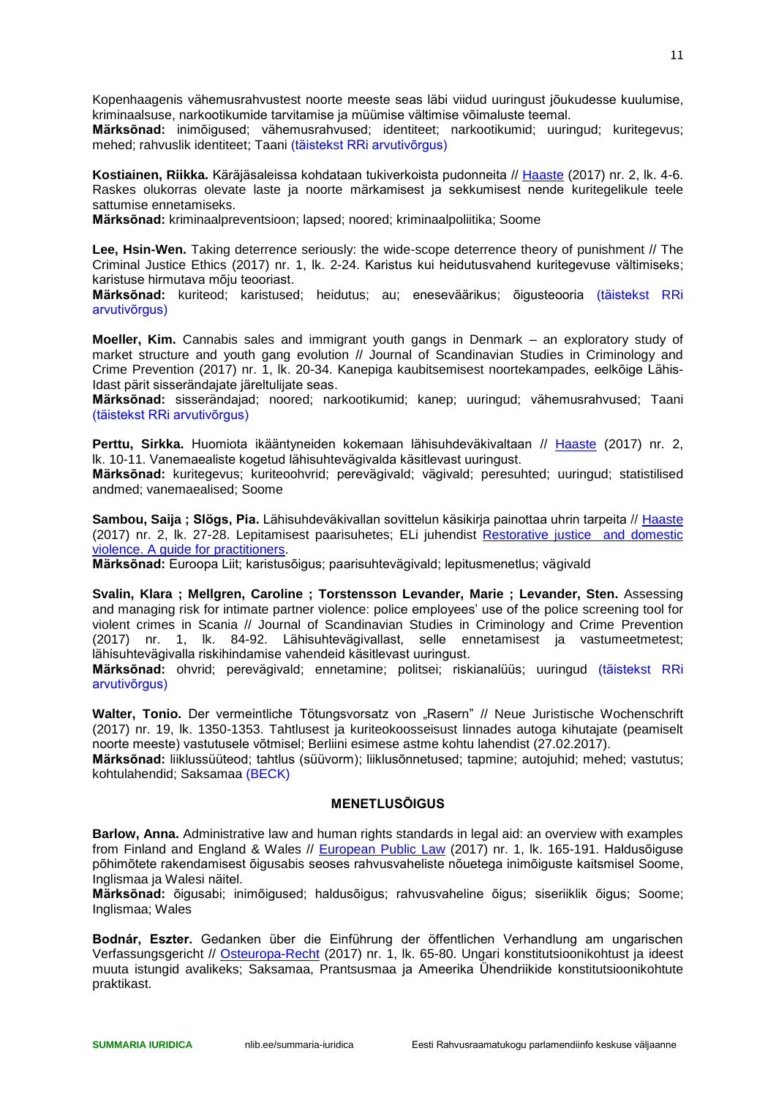Kopenhaagenis vähemusrahvustest noorte meeste seas läbi viidud uuringust jõukudesse kuulumise, kriminaalsuse, narkootikumide tarvitamise ja müümise vältimise võimaluste teemal.

**Märksõnad:** inimõigused; vähemusrahvused; identiteet; narkootikumid; uuringud; kuritegevus; mehed; rahvuslik identiteet; Taani (täistekst RRi arvutivõrgus)

**Kostiainen, Riikka.** Käräjäsaleissa kohdataan tukiverkoista pudonneita // [Haaste](http://www.ester.ee/record=b1530217*est) (2017) nr. 2, lk. 4-6. Raskes olukorras olevate laste ja noorte märkamisest ja sekkumisest nende kuritegelikule teele sattumise ennetamiseks.

**Märksõnad:** kriminaalpreventsioon; lapsed; noored; kriminaalpoliitika; Soome

**Lee, Hsin-Wen.** Taking deterrence seriously: the wide-scope deterrence theory of punishment // The Criminal Justice Ethics (2017) nr. 1, lk. 2-24. Karistus kui heidutusvahend kuritegevuse vältimiseks; karistuse hirmutava mõju teooriast.

**Märksõnad:** kuriteod; karistused; heidutus; au; eneseväärikus; õigusteooria (täistekst RRi arvutivõrgus)

**Moeller, Kim.** Cannabis sales and immigrant youth gangs in Denmark – an exploratory study of market structure and youth gang evolution // Journal of Scandinavian Studies in Criminology and Crime Prevention (2017) nr. 1, lk. 20-34. Kanepiga kaubitsemisest noortekampades, eelkõige Lähis-Idast pärit sisserändajate järeltulijate seas.

**Märksõnad:** sisserändajad; noored; narkootikumid; kanep; uuringud; vähemusrahvused; Taani (täistekst RRi arvutivõrgus)

**Perttu, Sirkka.** Huomiota ikääntyneiden kokemaan lähisuhdeväkivaltaan // [Haaste](http://www.ester.ee/record=b1530217*est) (2017) nr. 2, lk. 10-11. Vanemaealiste kogetud lähisuhtevägivalda käsitlevast uuringust.

**Märksõnad:** kuritegevus; kuriteoohvrid; perevägivald; vägivald; peresuhted; uuringud; statistilised andmed; vanemaealised; Soome

**Sambou, Saija ; Slögs, Pia.** Lähisuhdeväkivallan sovittelun käsikirja painottaa uhrin tarpeita // [Haaste](http://www.ester.ee/record=b1530217*est) (2017) nr. 2, lk. 27-28. Lepitamisest paarisuhetes; ELi juhendist [Restorative justice and domestic](http://www.ikf.ac.at/pdf/RJ_Guide_for_Practitioners.pdf)  [violence. A guide for practitioners.](http://www.ikf.ac.at/pdf/RJ_Guide_for_Practitioners.pdf)

**Märksõnad:** Euroopa Liit; karistusõigus; paarisuhtevägivald; lepitusmenetlus; vägivald

**Svalin, Klara ; Mellgren, Caroline ; Torstensson Levander, Marie ; Levander, Sten.** Assessing and managing risk for intimate partner violence: police employees' use of the police screening tool for violent crimes in Scania // Journal of Scandinavian Studies in Criminology and Crime Prevention (2017) nr. 1, lk. 84-92. Lähisuhtevägivallast, selle ennetamisest ja vastumeetmetest; lähisuhtevägivalla riskihindamise vahendeid käsitlevast uuringust.

**Märksõnad:** ohvrid; perevägivald; ennetamine; politsei; riskianalüüs; uuringud (täistekst RRi arvutivõrgus)

Walter, Tonio. Der vermeintliche Tötungsvorsatz von "Rasern" // Neue Juristische Wochenschrift (2017) nr. 19, lk. 1350-1353. Tahtlusest ja kuriteokoosseisust linnades autoga kihutajate (peamiselt noorte meeste) vastutusele võtmisel; Berliini esimese astme kohtu lahendist (27.02.2017).

**Märksõnad:** liiklussüüteod; tahtlus (süüvorm); liiklusõnnetused; tapmine; autojuhid; mehed; vastutus; kohtulahendid; Saksamaa (BECK)

#### **MENETLUSÕIGUS**

<span id="page-10-0"></span>**Barlow, Anna.** Administrative law and human rights standards in legal aid: an overview with examples from Finland and England & Wales // [European Public Law](http://www.ester.ee/record=b1436634*est) (2017) nr. 1, lk. 165-191. Haldusõiguse põhimõtete rakendamisest õigusabis seoses rahvusvaheliste nõuetega inimõiguste kaitsmisel Soome, Inglismaa ja Walesi näitel.

**Märksõnad:** õigusabi; inimõigused; haldusõigus; rahvusvaheline õigus; siseriiklik õigus; Soome; Inglismaa; Wales

**Bodnár, Eszter.** Gedanken über die Einführung der öffentlichen Verhandlung am ungarischen Verfassungsgericht // [Osteuropa-Recht](http://www.ester.ee/record=b1201714*est) (2017) nr. 1, lk. 65-80. Ungari konstitutsioonikohtust ja ideest muuta istungid avalikeks; Saksamaa, Prantsusmaa ja Ameerika Ühendriikide konstitutsioonikohtute praktikast.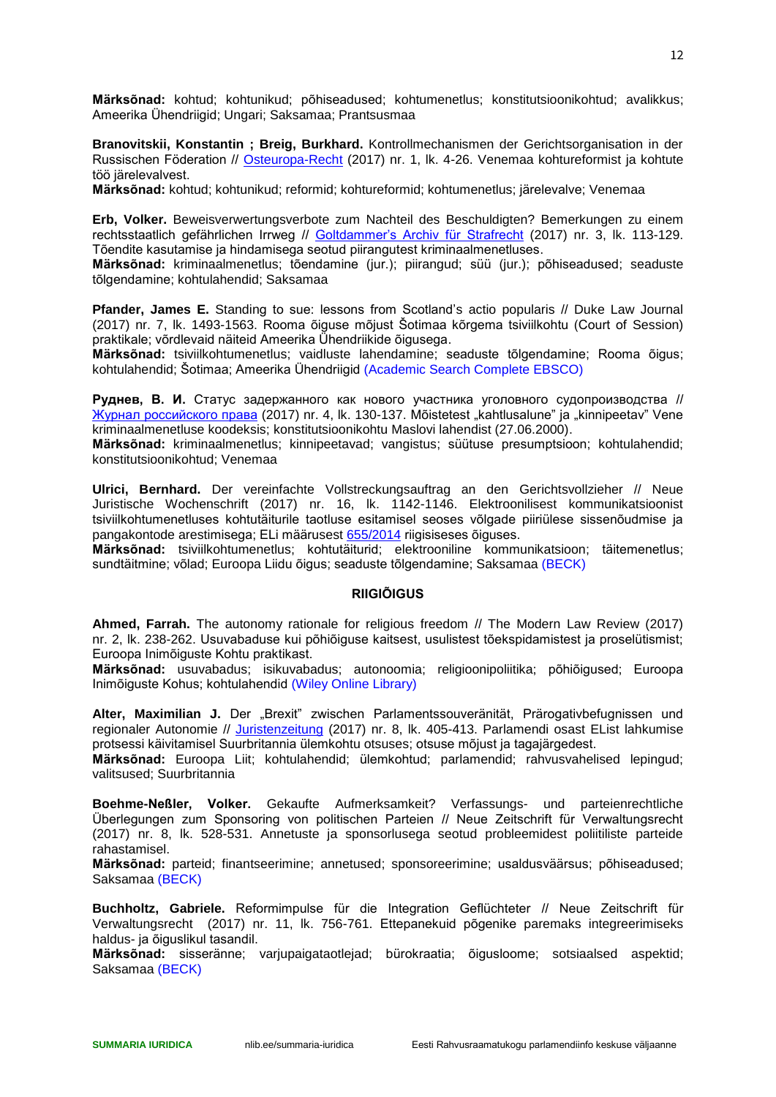**Märksõnad:** kohtud; kohtunikud; põhiseadused; kohtumenetlus; konstitutsioonikohtud; avalikkus; Ameerika Ühendriigid; Ungari; Saksamaa; Prantsusmaa

**Branovitskii, Konstantin ; Breig, Burkhard.** Kontrollmechanismen der Gerichtsorganisation in der Russischen Föderation // [Osteuropa-Recht](http://www.ester.ee/record=b1201714*est) (2017) nr. 1, lk. 4-26. Venemaa kohtureformist ja kohtute töö järelevalvest.

**Märksõnad:** kohtud; kohtunikud; reformid; kohtureformid; kohtumenetlus; järelevalve; Venemaa

**Erb, Volker.** Beweisverwertungsverbote zum Nachteil des Beschuldigten? Bemerkungen zu einem rechtsstaatlich gefährlichen Irrweg // [Goltdammer's Archiv für Strafrecht](http://www.ester.ee/record=b1200440*est) (2017) nr. 3, lk. 113-129. Tõendite kasutamise ja hindamisega seotud piirangutest kriminaalmenetluses.

**Märksõnad:** kriminaalmenetlus; tõendamine (jur.); piirangud; süü (jur.); põhiseadused; seaduste tõlgendamine; kohtulahendid; Saksamaa

**Pfander, James E.** Standing to sue: lessons from Scotland's actio popularis // Duke Law Journal (2017) nr. 7, lk. 1493-1563. Rooma õiguse mõjust Šotimaa kõrgema tsiviilkohtu (Court of Session) praktikale; võrdlevaid näiteid Ameerika Ühendriikide õigusega.

**Märksõnad:** tsiviilkohtumenetlus; vaidluste lahendamine; seaduste tõlgendamine; Rooma õigus; kohtulahendid; Šotimaa; Ameerika Ühendriigid (Academic Search Complete EBSCO)

**Руднев, В. И.** Статус задержанного как нового участника уголовного судопроизводства // [Журнал российского права](http://www.ester.ee/record=b1204795*est) (2017) nr. 4, lk. 130-137. Mõistetest "kahtlusalune" ja "kinnipeetav" Vene kriminaalmenetluse koodeksis; konstitutsioonikohtu Maslovi lahendist (27.06.2000).

**Märksõnad:** kriminaalmenetlus; kinnipeetavad; vangistus; süütuse presumptsioon; kohtulahendid; konstitutsioonikohtud; Venemaa

**Ulrici, Bernhard.** Der vereinfachte Vollstreckungsauftrag an den Gerichtsvollzieher // Neue Juristische Wochenschrift (2017) nr. 16, lk. 1142-1146. Elektroonilisest kommunikatsioonist tsiviilkohtumenetluses kohtutäiturile taotluse esitamisel seoses võlgade piiriülese sissenõudmise ja pangakontode arestimisega; ELi määrusest [655/2014](http://eur-lex.europa.eu/legal-content/ET/TXT/PDF/?uri=CELEX:32014R0655&from=ET) riigisiseses õiguses.

**Märksõnad:** tsiviilkohtumenetlus; kohtutäiturid; elektrooniline kommunikatsioon; täitemenetlus; sundtäitmine; võlad; Euroopa Liidu õigus; seaduste tõlgendamine; Saksamaa (BECK)

#### **RIIGIÕIGUS**

<span id="page-11-0"></span>**Ahmed, Farrah.** The autonomy rationale for religious freedom // The Modern Law Review (2017) nr. 2, lk. 238-262. Usuvabaduse kui põhiõiguse kaitsest, usulistest tõekspidamistest ja proselütismist; Euroopa Inimõiguste Kohtu praktikast.

**Märksõnad:** usuvabadus; isikuvabadus; autonoomia; religioonipoliitika; põhiõigused; Euroopa Inimõiguste Kohus; kohtulahendid (Wiley Online Library)

Alter, Maximilian J. Der "Brexit" zwischen Parlamentssouveränität, Prärogativbefugnissen und regionaler Autonomie // [Juristenzeitung](http://www.ester.ee/record=b1201037*est) (2017) nr. 8, lk. 405-413. Parlamendi osast EList lahkumise protsessi käivitamisel Suurbritannia ülemkohtu otsuses; otsuse mõjust ja tagajärgedest.

**Märksõnad:** Euroopa Liit; kohtulahendid; ülemkohtud; parlamendid; rahvusvahelised lepingud; valitsused; Suurbritannia

**Boehme-Neßler, Volker.** Gekaufte Aufmerksamkeit? Verfassungs- und parteienrechtliche Überlegungen zum Sponsoring von politischen Parteien // Neue Zeitschrift für Verwaltungsrecht (2017) nr. 8, lk. 528-531. Annetuste ja sponsorlusega seotud probleemidest poliitiliste parteide rahastamisel.

**Märksõnad:** parteid; finantseerimine; annetused; sponsoreerimine; usaldusväärsus; põhiseadused; Saksamaa (BECK)

**Buchholtz, Gabriele.** Reformimpulse für die Integration Geflüchteter // Neue Zeitschrift für Verwaltungsrecht (2017) nr. 11, lk. 756-761. Ettepanekuid põgenike paremaks integreerimiseks haldus- ja õiguslikul tasandil.

**Märksõnad:** sisseränne; varjupaigataotlejad; bürokraatia; õigusloome; sotsiaalsed aspektid; Saksamaa (BECK)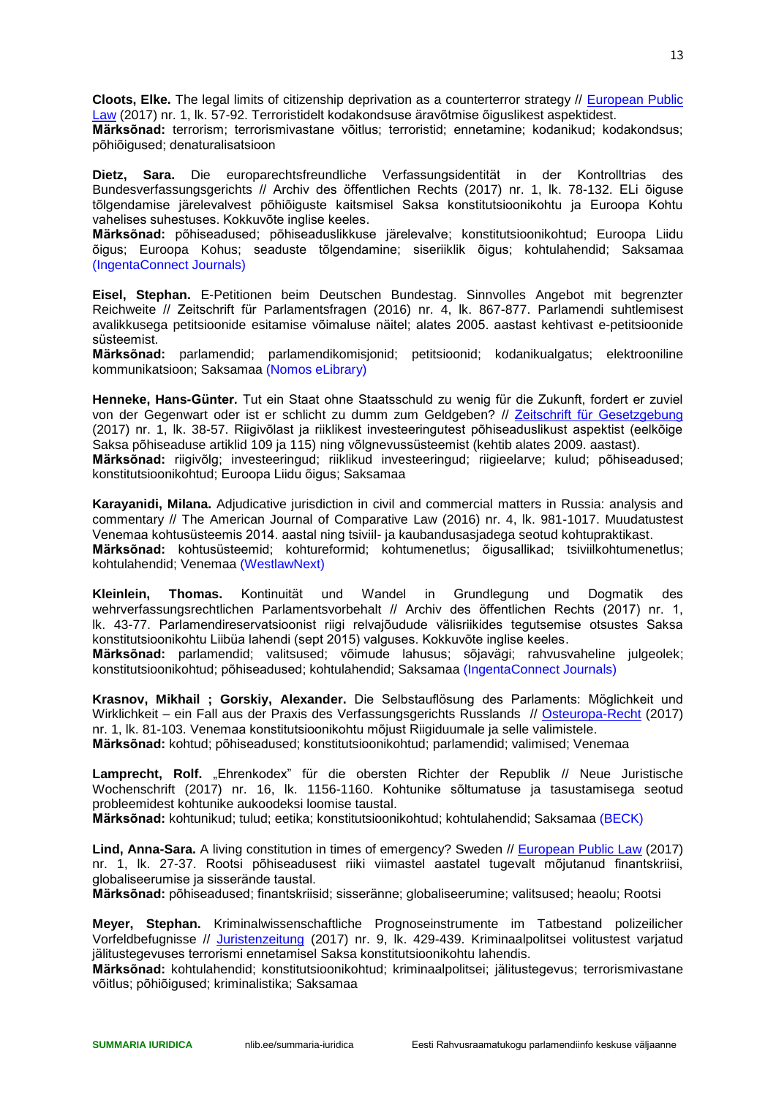**Cloots, Elke.** The legal limits of citizenship deprivation as a counterterror strategy // [European Public](http://www.ester.ee/record=b1436634*est)  [Law](http://www.ester.ee/record=b1436634*est) (2017) nr. 1, lk. 57-92. Terroristidelt kodakondsuse äravõtmise õiguslikest aspektidest.

**Märksõnad:** terrorism; terrorismivastane võitlus; terroristid; ennetamine; kodanikud; kodakondsus; põhiõigused; denaturalisatsioon

**Dietz, Sara.** Die europarechtsfreundliche Verfassungsidentität in der Kontrolltrias des Bundesverfassungsgerichts // Archiv des öffentlichen Rechts (2017) nr. 1, lk. 78-132. ELi õiguse tõlgendamise järelevalvest põhiõiguste kaitsmisel Saksa konstitutsioonikohtu ja Euroopa Kohtu vahelises suhestuses. Kokkuvõte inglise keeles.

**Märksõnad:** põhiseadused; põhiseaduslikkuse järelevalve; konstitutsioonikohtud; Euroopa Liidu õigus; Euroopa Kohus; seaduste tõlgendamine; siseriiklik õigus; kohtulahendid; Saksamaa (IngentaConnect Journals)

**Eisel, Stephan.** E-Petitionen beim Deutschen Bundestag. Sinnvolles Angebot mit begrenzter Reichweite // Zeitschrift für Parlamentsfragen (2016) nr. 4, lk. 867-877. Parlamendi suhtlemisest avalikkusega petitsioonide esitamise võimaluse näitel; alates 2005. aastast kehtivast e-petitsioonide süsteemist.

**Märksõnad:** parlamendid; parlamendikomisjonid; petitsioonid; kodanikualgatus; elektrooniline kommunikatsioon; Saksamaa (Nomos eLibrary)

**Henneke, Hans-Günter.** Tut ein Staat ohne Staatsschuld zu wenig für die Zukunft, fordert er zuviel von der Gegenwart oder ist er schlicht zu dumm zum Geldgeben? // [Zeitschrift für Gesetzgebung](http://www.ester.ee/record=b1438633*est) (2017) nr. 1, lk. 38-57. Riigivõlast ja riiklikest investeeringutest põhiseaduslikust aspektist (eelkõige Saksa põhiseaduse artiklid 109 ja 115) ning võlgnevussüsteemist (kehtib alates 2009. aastast). **Märksõnad:** riigivõlg; investeeringud; riiklikud investeeringud; riigieelarve; kulud; põhiseadused; konstitutsioonikohtud; Euroopa Liidu õigus; Saksamaa

**Karayanidi, Milana.** Adjudicative jurisdiction in civil and commercial matters in Russia: analysis and commentary // The American Journal of Comparative Law (2016) nr. 4, lk. 981-1017. Muudatustest Venemaa kohtusüsteemis 2014. aastal ning tsiviil- ja kaubandusasjadega seotud kohtupraktikast. **Märksõnad:** kohtusüsteemid; kohtureformid; kohtumenetlus; õigusallikad; tsiviilkohtumenetlus; kohtulahendid; Venemaa (WestlawNext)

**Kleinlein, Thomas.** Kontinuität und Wandel in Grundlegung und Dogmatik des wehrverfassungsrechtlichen Parlamentsvorbehalt // Archiv des öffentlichen Rechts (2017) nr. 1, lk. 43-77. Parlamendireservatsioonist riigi relvajõudude välisriikides tegutsemise otsustes Saksa konstitutsioonikohtu Liibüa lahendi (sept 2015) valguses. Kokkuvõte inglise keeles.

**Märksõnad:** parlamendid; valitsused; võimude lahusus; sõjavägi; rahvusvaheline julgeolek; konstitutsioonikohtud; põhiseadused; kohtulahendid; Saksamaa (IngentaConnect Journals)

**Krasnov, Mikhail ; Gorskiy, Alexander.** Die Selbstauflösung des Parlaments: Möglichkeit und Wirklichkeit – ein Fall aus der Praxis des Verfassungsgerichts Russlands // [Osteuropa-Recht](http://www.ester.ee/record=b1201714*est) (2017) nr. 1, lk. 81-103. Venemaa konstitutsioonikohtu mõjust Riigiduumale ja selle valimistele. **Märksõnad:** kohtud; põhiseadused; konstitutsioonikohtud; parlamendid; valimised; Venemaa

Lamprecht, Rolf. "Ehrenkodex" für die obersten Richter der Republik // Neue Juristische Wochenschrift (2017) nr. 16, lk. 1156-1160. Kohtunike sõltumatuse ja tasustamisega seotud probleemidest kohtunike aukoodeksi loomise taustal.

**Märksõnad:** kohtunikud; tulud; eetika; konstitutsioonikohtud; kohtulahendid; Saksamaa (BECK)

**Lind, Anna-Sara.** A living constitution in times of emergency? Sweden // [European Public Law](http://www.ester.ee/record=b1436634*est) (2017) nr. 1, lk. 27-37. Rootsi põhiseadusest riiki viimastel aastatel tugevalt mõjutanud finantskriisi, globaliseerumise ja sisserände taustal.

**Märksõnad:** põhiseadused; finantskriisid; sisseränne; globaliseerumine; valitsused; heaolu; Rootsi

**Meyer, Stephan.** Kriminalwissenschaftliche Prognoseinstrumente im Tatbestand polizeilicher Vorfeldbefugnisse // [Juristenzeitung](http://www.ester.ee/record=b1201037*est) (2017) nr. 9, lk. 429-439. Kriminaalpolitsei volitustest varjatud jälitustegevuses terrorismi ennetamisel Saksa konstitutsioonikohtu lahendis.

**Märksõnad:** kohtulahendid; konstitutsioonikohtud; kriminaalpolitsei; jälitustegevus; terrorismivastane võitlus; põhiõigused; kriminalistika; Saksamaa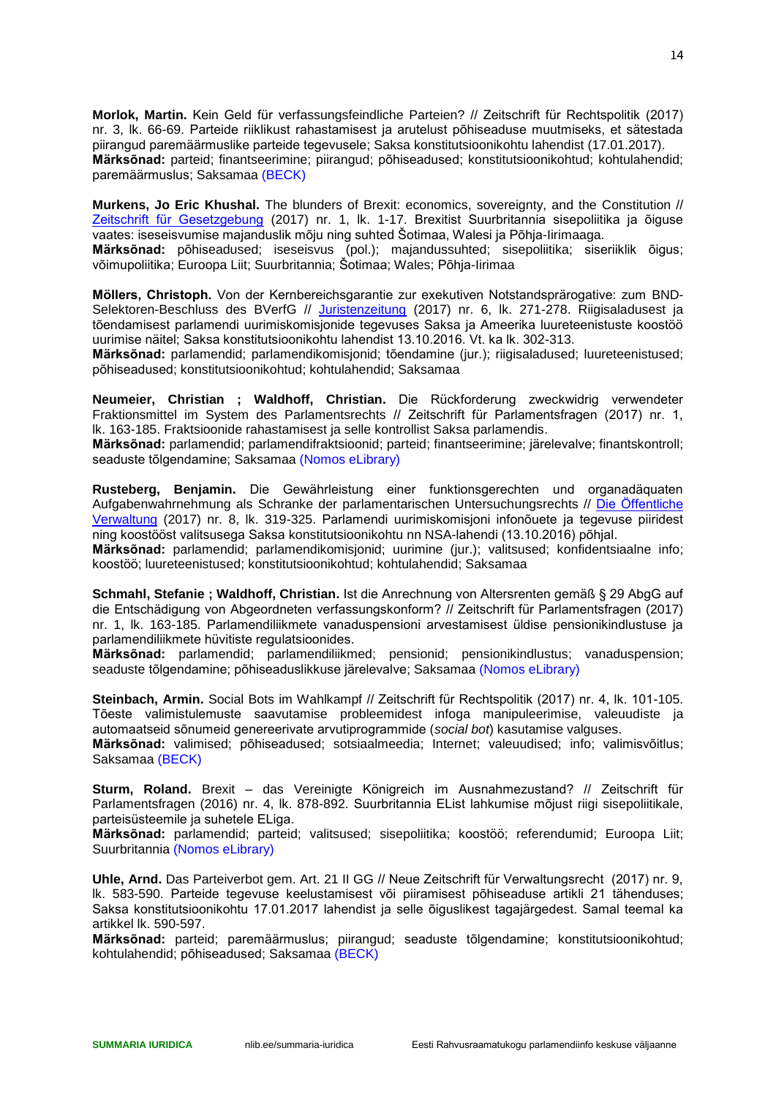**Morlok, Martin.** Kein Geld für verfassungsfeindliche Parteien? // Zeitschrift für Rechtspolitik (2017) nr. 3, lk. 66-69. Parteide riiklikust rahastamisest ja arutelust põhiseaduse muutmiseks, et sätestada piirangud paremäärmuslike parteide tegevusele; Saksa konstitutsioonikohtu lahendist (17.01.2017). **Märksõnad:** parteid; finantseerimine; piirangud; põhiseadused; konstitutsioonikohtud; kohtulahendid; paremäärmuslus; Saksamaa (BECK)

**Murkens, Jo Eric Khushal.** The blunders of Brexit: economics, sovereignty, and the Constitution // [Zeitschrift für Gesetzgebung](http://www.ester.ee/record=b1438633*est) (2017) nr. 1, lk. 1-17. Brexitist Suurbritannia sisepoliitika ja õiguse vaates: iseseisvumise majanduslik mõju ning suhted Šotimaa, Walesi ja Põhja-Iirimaaga.

**Märksõnad:** põhiseadused; iseseisvus (pol.); majandussuhted; sisepoliitika; siseriiklik õigus; võimupoliitika; Euroopa Liit; Suurbritannia; Šotimaa; Wales; Põhja-Iirimaa

**Möllers, Christoph.** Von der Kernbereichsgarantie zur exekutiven Notstandsprärogative: zum BND-Selektoren-Beschluss des BVerfG // [Juristenzeitung](http://www.ester.ee/record=b1201037*est) (2017) nr. 6, lk. 271-278. Riigisaladusest ja tõendamisest parlamendi uurimiskomisjonide tegevuses Saksa ja Ameerika luureteenistuste koostöö uurimise näitel; Saksa konstitutsioonikohtu lahendist 13.10.2016. Vt. ka lk. 302-313.

**Märksõnad:** parlamendid; parlamendikomisjonid; tõendamine (jur.); riigisaladused; luureteenistused; põhiseadused; konstitutsioonikohtud; kohtulahendid; Saksamaa

**Neumeier, Christian ; Waldhoff, Christian.** Die Rückforderung zweckwidrig verwendeter Fraktionsmittel im System des Parlamentsrechts // Zeitschrift für Parlamentsfragen (2017) nr. 1, lk. 163-185. Fraktsioonide rahastamisest ja selle kontrollist Saksa parlamendis.

**Märksõnad:** parlamendid; parlamendifraktsioonid; parteid; finantseerimine; järelevalve; finantskontroll; seaduste tõlgendamine; Saksamaa (Nomos eLibrary)

**Rusteberg, Benjamin.** Die Gewährleistung einer funktionsgerechten und organadäquaten Aufgabenwahrnehmung als Schranke der parlamentarischen Untersuchungsrechts // [Die Öffentliche](http://www.ester.ee/record=b1199986*est)  [Verwaltung](http://www.ester.ee/record=b1199986*est) (2017) nr. 8, lk. 319-325. Parlamendi uurimiskomisjoni infonõuete ja tegevuse piiridest ning koostööst valitsusega Saksa konstitutsioonikohtu nn NSA-lahendi (13.10.2016) põhjal.

**Märksõnad:** parlamendid; parlamendikomisjonid; uurimine (jur.); valitsused; konfidentsiaalne info; koostöö; luureteenistused; konstitutsioonikohtud; kohtulahendid; Saksamaa

**Schmahl, Stefanie ; Waldhoff, Christian.** Ist die Anrechnung von Altersrenten gemäß § 29 AbgG auf die Entschädigung von Abgeordneten verfassungskonform? // Zeitschrift für Parlamentsfragen (2017) nr. 1, lk. 163-185. Parlamendiliikmete vanaduspensioni arvestamisest üldise pensionikindlustuse ja parlamendiliikmete hüvitiste regulatsioonides.

**Märksõnad:** parlamendid; parlamendiliikmed; pensionid; pensionikindlustus; vanaduspension; seaduste tõlgendamine; põhiseaduslikkuse järelevalve; Saksamaa (Nomos eLibrary)

**Steinbach, Armin.** Social Bots im Wahlkampf // Zeitschrift für Rechtspolitik (2017) nr. 4, lk. 101-105. Tõeste valimistulemuste saavutamise probleemidest infoga manipuleerimise, valeuudiste ja automaatseid sõnumeid genereerivate arvutiprogrammide (*social bot*) kasutamise valguses.

**Märksõnad:** valimised; põhiseadused; sotsiaalmeedia; Internet; valeuudised; info; valimisvõitlus; Saksamaa (BECK)

**Sturm, Roland.** Brexit – das Vereinigte Königreich im Ausnahmezustand? // Zeitschrift für Parlamentsfragen (2016) nr. 4, lk. 878-892. Suurbritannia EList lahkumise mõjust riigi sisepoliitikale, parteisüsteemile ja suhetele ELiga.

**Märksõnad:** parlamendid; parteid; valitsused; sisepoliitika; koostöö; referendumid; Euroopa Liit; Suurbritannia (Nomos eLibrary)

**Uhle, Arnd.** Das Parteiverbot gem. Art. 21 II GG // Neue Zeitschrift für Verwaltungsrecht (2017) nr. 9, lk. 583-590. Parteide tegevuse keelustamisest või piiramisest põhiseaduse artikli 21 tähenduses; Saksa konstitutsioonikohtu 17.01.2017 lahendist ja selle õiguslikest tagajärgedest. Samal teemal ka artikkel lk. 590-597.

**Märksõnad:** parteid; paremäärmuslus; piirangud; seaduste tõlgendamine; konstitutsioonikohtud; kohtulahendid; põhiseadused; Saksamaa (BECK)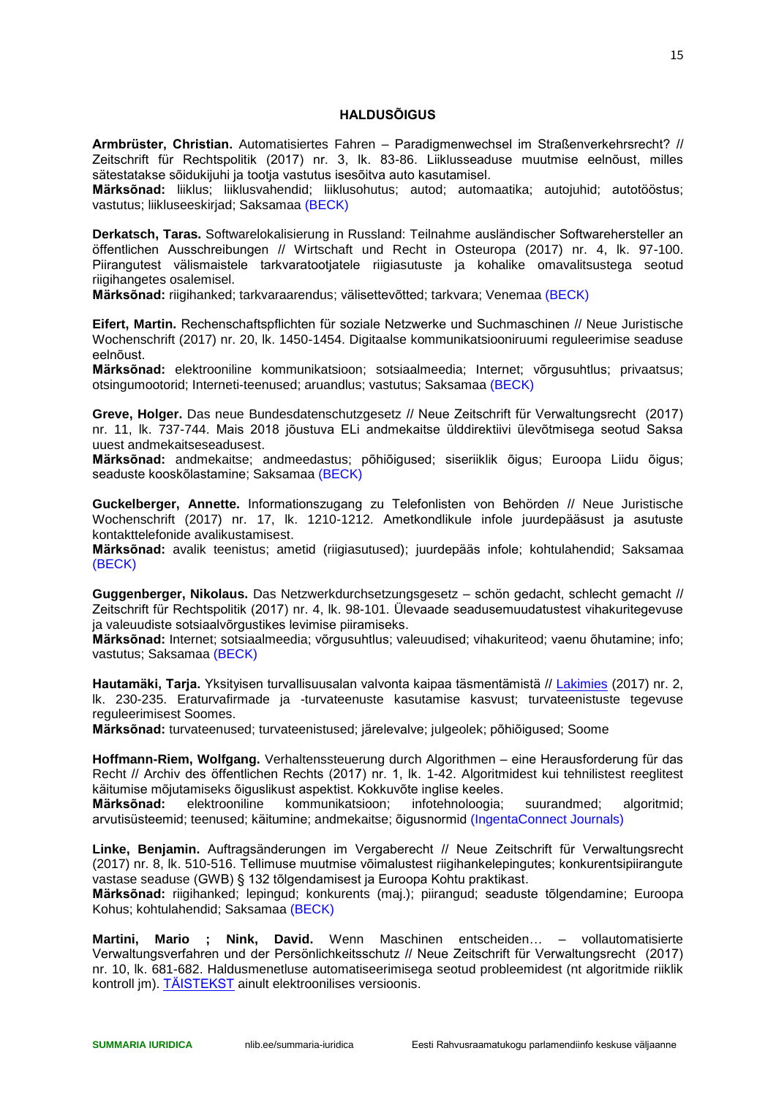## **HALDUSÕIGUS**

<span id="page-14-0"></span>**Armbrüster, Christian.** Automatisiertes Fahren – Paradigmenwechsel im Straßenverkehrsrecht? // Zeitschrift für Rechtspolitik (2017) nr. 3, lk. 83-86. Liiklusseaduse muutmise eelnõust, milles sätestatakse sõidukijuhi ja tootja vastutus isesõitva auto kasutamisel.

**Märksõnad:** liiklus; liiklusvahendid; liiklusohutus; autod; automaatika; autojuhid; autotööstus; vastutus; liikluseeskirjad; Saksamaa (BECK)

**Derkatsch, Taras.** Softwarelokalisierung in Russland: Teilnahme ausländischer Softwarehersteller an öffentlichen Ausschreibungen // Wirtschaft und Recht in Osteuropa (2017) nr. 4, lk. 97-100. Piirangutest välismaistele tarkvaratootjatele riigiasutuste ja kohalike omavalitsustega seotud riigihangetes osalemisel.

**Märksõnad:** riigihanked; tarkvaraarendus; välisettevõtted; tarkvara; Venemaa (BECK)

**Eifert, Martin.** Rechenschaftspflichten für soziale Netzwerke und Suchmaschinen // Neue Juristische Wochenschrift (2017) nr. 20, lk. 1450-1454. Digitaalse kommunikatsiooniruumi reguleerimise seaduse eelnõust.

**Märksõnad:** elektrooniline kommunikatsioon; sotsiaalmeedia; Internet; võrgusuhtlus; privaatsus; otsingumootorid; Interneti-teenused; aruandlus; vastutus; Saksamaa (BECK)

**Greve, Holger.** Das neue Bundesdatenschutzgesetz // Neue Zeitschrift für Verwaltungsrecht (2017) nr. 11, lk. 737-744. Mais 2018 jõustuva ELi andmekaitse ülddirektiivi ülevõtmisega seotud Saksa uuest andmekaitseseadusest.

**Märksõnad:** andmekaitse; andmeedastus; põhiõigused; siseriiklik õigus; Euroopa Liidu õigus; seaduste kooskõlastamine; Saksamaa (BECK)

**Guckelberger, Annette.** Informationszugang zu Telefonlisten von Behörden // Neue Juristische Wochenschrift (2017) nr. 17, lk. 1210-1212. Ametkondlikule infole juurdepääsust ja asutuste kontakttelefonide avalikustamisest.

**Märksõnad:** avalik teenistus; ametid (riigiasutused); juurdepääs infole; kohtulahendid; Saksamaa (BECK)

**Guggenberger, Nikolaus.** Das Netzwerkdurchsetzungsgesetz – schön gedacht, schlecht gemacht // Zeitschrift für Rechtspolitik (2017) nr. 4, lk. 98-101. Ülevaade seadusemuudatustest vihakuritegevuse ja valeuudiste sotsiaalvõrgustikes levimise piiramiseks.

**Märksõnad:** Internet; sotsiaalmeedia; võrgusuhtlus; valeuudised; vihakuriteod; vaenu õhutamine; info; vastutus; Saksamaa (BECK)

**Hautamäki, Tarja.** Yksityisen turvallisuusalan valvonta kaipaa täsmentämistä // [Lakimies](http://www.ester.ee/record=b1201160*est) (2017) nr. 2, lk. 230-235. Eraturvafirmade ja -turvateenuste kasutamise kasvust; turvateenistuste tegevuse reguleerimisest Soomes.

**Märksõnad:** turvateenused; turvateenistused; järelevalve; julgeolek; põhiõigused; Soome

**Hoffmann-Riem, Wolfgang.** Verhaltenssteuerung durch Algorithmen – eine Herausforderung für das Recht // Archiv des öffentlichen Rechts (2017) nr. 1, lk. 1-42. Algoritmidest kui tehnilistest reeglitest käitumise mõjutamiseks õiguslikust aspektist. Kokkuvõte inglise keeles.

**Märksõnad:** elektrooniline kommunikatsioon; infotehnoloogia; suurandmed; algoritmid; arvutisüsteemid; teenused; käitumine; andmekaitse; õigusnormid (IngentaConnect Journals)

**Linke, Benjamin.** Auftragsänderungen im Vergaberecht // Neue Zeitschrift für Verwaltungsrecht (2017) nr. 8, lk. 510-516. Tellimuse muutmise võimalustest riigihankelepingutes; konkurentsipiirangute vastase seaduse (GWB) § 132 tõlgendamisest ja Euroopa Kohtu praktikast.

**Märksõnad:** riigihanked; lepingud; konkurents (maj.); piirangud; seaduste tõlgendamine; Euroopa Kohus; kohtulahendid; Saksamaa (BECK)

**Martini, Mario ; Nink, David.** Wenn Maschinen entscheiden… – vollautomatisierte Verwaltungsverfahren und der Persönlichkeitsschutz // Neue Zeitschrift für Verwaltungsrecht (2017) nr. 10, lk. 681-682. Haldusmenetluse automatiseerimisega seotud probleemidest (nt algoritmide riiklik kontroll jm). [TÄISTEKST](http://rsw.beck.de/rsw/upload/NVwZ/NVwZ-Extra_2017_10.pdf) ainult elektroonilises versioonis.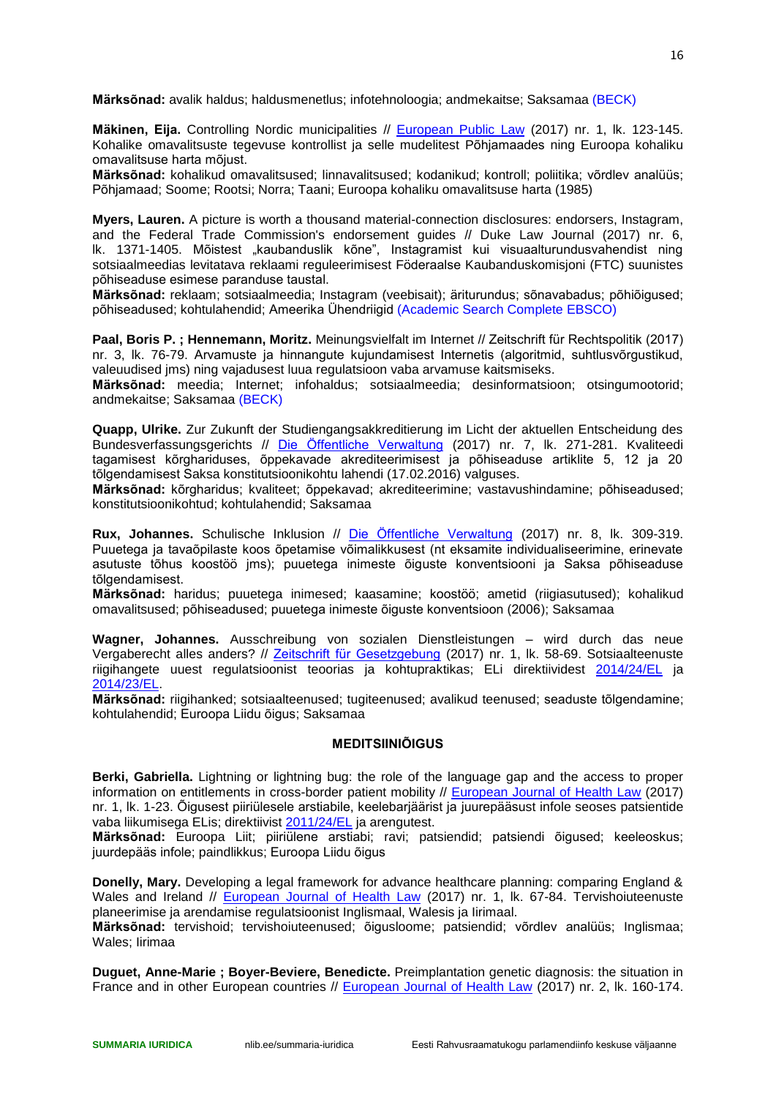**Märksõnad:** avalik haldus; haldusmenetlus; infotehnoloogia; andmekaitse; Saksamaa (BECK)

**Mäkinen, Eija.** Controlling Nordic municipalities // [European Public Law](http://www.ester.ee/record=b1436634*est) (2017) nr. 1, lk. 123-145. Kohalike omavalitsuste tegevuse kontrollist ja selle mudelitest Põhjamaades ning Euroopa kohaliku omavalitsuse harta mõjust.

**Märksõnad:** kohalikud omavalitsused; linnavalitsused; kodanikud; kontroll; poliitika; võrdlev analüüs; Põhjamaad; Soome; Rootsi; Norra; Taani; Euroopa kohaliku omavalitsuse harta (1985)

**Myers, Lauren.** A picture is worth a thousand material-connection disclosures: endorsers, Instagram, and the Federal Trade Commission's endorsement guides // Duke Law Journal (2017) nr. 6, lk. 1371-1405. Mõistest "kaubanduslik kõne", Instagramist kui visuaalturundusvahendist ning sotsiaalmeedias levitatava reklaami reguleerimisest Föderaalse Kaubanduskomisjoni (FTC) suunistes põhiseaduse esimese paranduse taustal.

**Märksõnad:** reklaam; sotsiaalmeedia; Instagram (veebisait); äriturundus; sõnavabadus; põhiõigused; põhiseadused; kohtulahendid; Ameerika Ühendriigid (Academic Search Complete EBSCO)

**Paal, Boris P. ; Hennemann, Moritz.** Meinungsvielfalt im Internet // Zeitschrift für Rechtspolitik (2017) nr. 3, lk. 76-79. Arvamuste ja hinnangute kujundamisest Internetis (algoritmid, suhtlusvõrgustikud, valeuudised jms) ning vajadusest luua regulatsioon vaba arvamuse kaitsmiseks.

**Märksõnad:** meedia; Internet; infohaldus; sotsiaalmeedia; desinformatsioon; otsingumootorid; andmekaitse; Saksamaa (BECK)

**Quapp, Ulrike.** Zur Zukunft der Studiengangsakkreditierung im Licht der aktuellen Entscheidung des Bundesverfassungsgerichts // [Die Öffentliche Verwaltung](http://www.ester.ee/record=b1199986*est) (2017) nr. 7, lk. 271-281. Kvaliteedi tagamisest kõrghariduses, õppekavade akrediteerimisest ja põhiseaduse artiklite 5, 12 ja 20 tõlgendamisest Saksa konstitutsioonikohtu lahendi (17.02.2016) valguses.

**Märksõnad:** kõrgharidus; kvaliteet; õppekavad; akrediteerimine; vastavushindamine; põhiseadused; konstitutsioonikohtud; kohtulahendid; Saksamaa

**Rux, Johannes.** Schulische Inklusion // [Die Öffentliche Verwaltung](http://www.ester.ee/record=b1199986*est) (2017) nr. 8, lk. 309-319. Puuetega ja tavaõpilaste koos õpetamise võimalikkusest (nt eksamite individualiseerimine, erinevate asutuste tõhus koostöö jms); puuetega inimeste õiguste konventsiooni ja Saksa põhiseaduse tõlgendamisest.

**Märksõnad:** haridus; puuetega inimesed; kaasamine; koostöö; ametid (riigiasutused); kohalikud omavalitsused; põhiseadused; puuetega inimeste õiguste konventsioon (2006); Saksamaa

**Wagner, Johannes.** Ausschreibung von sozialen Dienstleistungen – wird durch das neue Vergaberecht alles anders? // [Zeitschrift für Gesetzgebung](http://www.ester.ee/record=b1438633*est) (2017) nr. 1, lk. 58-69. Sotsiaalteenuste riigihangete uuest regulatsioonist teoorias ja kohtupraktikas; ELi direktiividest [2014/24/EL](http://eur-lex.europa.eu/legal-content/ET/TXT/PDF/?uri=CELEX:32014L0024&from=ET) ja [2014/23/EL.](http://eur-lex.europa.eu/legal-content/ET/TXT/PDF/?uri=CELEX:32014L0023&from=ET)

**Märksõnad:** riigihanked; sotsiaalteenused; tugiteenused; avalikud teenused; seaduste tõlgendamine; kohtulahendid; Euroopa Liidu õigus; Saksamaa

## **MEDITSIINIÕIGUS**

<span id="page-15-0"></span>**Berki, Gabriella.** Lightning or lightning bug: the role of the language gap and the access to proper information on entitlements in cross-border patient mobility // [European Journal of Health Law](http://www.ester.ee/record=b1181900*est) (2017) nr. 1, lk. 1-23. Õigusest piiriülesele arstiabile, keelebarjäärist ja juurepääsust infole seoses patsientide vaba liikumisega ELis; direktiivist [2011/24/EL](http://eur-lex.europa.eu/legal-content/ET/TXT/PDF/?uri=CELEX:32011L0024&from=ET) ja arengutest.

**Märksõnad:** Euroopa Liit; piiriülene arstiabi; ravi; patsiendid; patsiendi õigused; keeleoskus; juurdepääs infole; paindlikkus; Euroopa Liidu õigus

**Donelly, Mary.** Developing a legal framework for advance healthcare planning: comparing England & Wales and Ireland // [European Journal of Health Law](http://www.ester.ee/record=b1181900*est) (2017) nr. 1, lk. 67-84. Tervishoiuteenuste planeerimise ja arendamise regulatsioonist Inglismaal, Walesis ja Iirimaal.

**Märksõnad:** tervishoid; tervishoiuteenused; õigusloome; patsiendid; võrdlev analüüs; Inglismaa; Wales; Iirimaa

**Duguet, Anne-Marie ; Boyer-Beviere, Benedicte.** Preimplantation genetic diagnosis: the situation in France and in other European countries // [European Journal of Health Law](http://www.ester.ee/record=b1181900*est) (2017) nr. 2, lk. 160-174.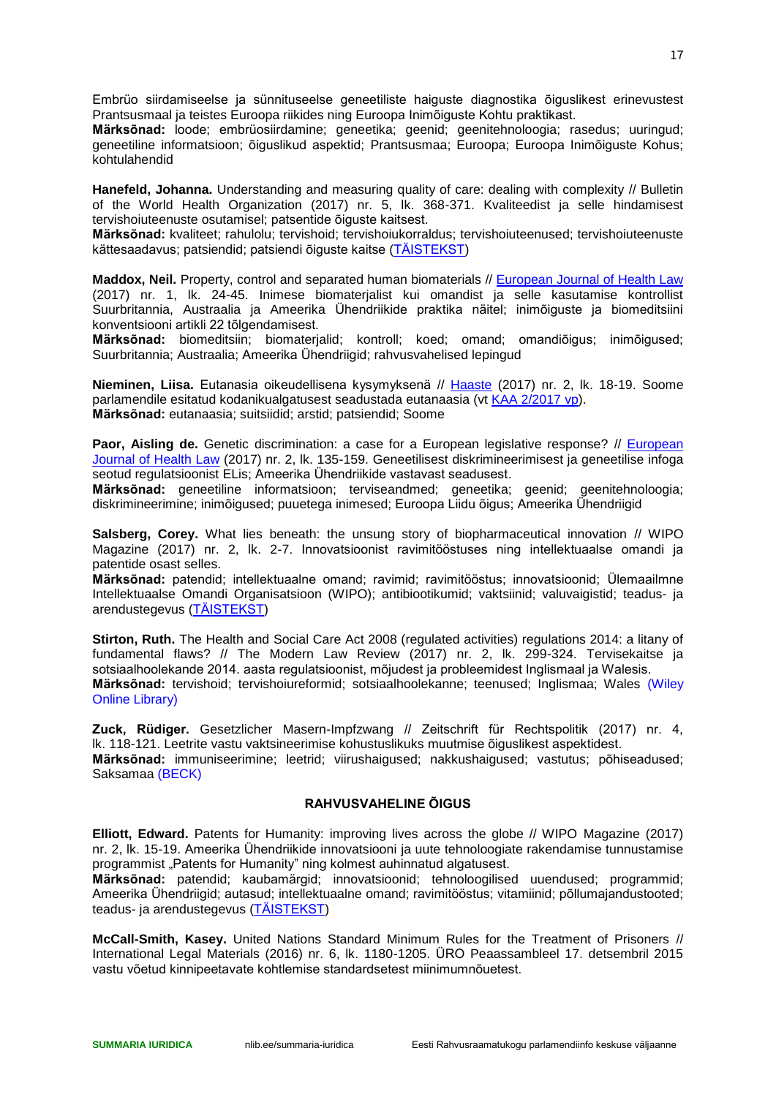Embrüo siirdamiseelse ja sünnituseelse geneetiliste haiguste diagnostika õiguslikest erinevustest Prantsusmaal ja teistes Euroopa riikides ning Euroopa Inimõiguste Kohtu praktikast.

**Märksõnad:** loode; embrüosiirdamine; geneetika; geenid; geenitehnoloogia; rasedus; uuringud; geneetiline informatsioon; õiguslikud aspektid; Prantsusmaa; Euroopa; Euroopa Inimõiguste Kohus; kohtulahendid

**Hanefeld, Johanna.** Understanding and measuring quality of care: dealing with complexity // Bulletin of the World Health Organization (2017) nr. 5, lk. 368-371. Kvaliteedist ja selle hindamisest tervishoiuteenuste osutamisel; patsentide õiguste kaitsest.

**Märksõnad:** kvaliteet; rahulolu; tervishoid; tervishoiukorraldus; tervishoiuteenused; tervishoiuteenuste kättesaadavus; patsiendid; patsiendi õiguste kaitse [\(TÄISTEKST\)](http://www.who.int/bulletin/volumes/95/5/en/)

**Maddox, Neil.** Property, control and separated human biomaterials // [European Journal of Health Law](http://www.ester.ee/record=b1181900*est) (2017) nr. 1, lk. 24-45. Inimese biomaterjalist kui omandist ja selle kasutamise kontrollist Suurbritannia, Austraalia ja Ameerika Ühendriikide praktika näitel; inimõiguste ja biomeditsiini konventsiooni artikli 22 tõlgendamisest.

**Märksõnad:** biomeditsiin; biomaterjalid; kontroll; koed; omand; omandiõigus; inimõigused; Suurbritannia; Austraalia; Ameerika Ühendriigid; rahvusvahelised lepingud

**Nieminen, Liisa.** Eutanasia oikeudellisena kysymyksenä // [Haaste](http://www.ester.ee/record=b1530217*est) (2017) nr. 2, lk. 18-19. Soome parlamendile esitatud kodanikualgatusest seadustada eutanaasia (vt [KAA 2/2017 vp\)](https://www.eduskunta.fi/FI/vaski/EduskuntaAloite/Documents/KAA_2+2017.pdf). **Märksõnad:** eutanaasia; suitsiidid; arstid; patsiendid; Soome

**Paor, Aisling de.** Genetic discrimination: a case for a [European](http://www.ester.ee/record=b1181900*est) legislative response? // European [Journal of Health Law](http://www.ester.ee/record=b1181900*est) (2017) nr. 2, lk. 135-159. Geneetilisest diskrimineerimisest ja geneetilise infoga seotud regulatsioonist ELis; Ameerika Ühendriikide vastavast seadusest.

**Märksõnad:** geneetiline informatsioon; terviseandmed; geneetika; geenid; geenitehnoloogia; diskrimineerimine; inimõigused; puuetega inimesed; Euroopa Liidu õigus; Ameerika Ühendriigid

Salsberg, Corey. What lies beneath: the unsung story of biopharmaceutical innovation // WIPO Magazine (2017) nr. 2, lk. 2-7. Innovatsioonist ravimitööstuses ning intellektuaalse omandi ja patentide osast selles.

**Märksõnad:** patendid; intellektuaalne omand; ravimid; ravimitööstus; innovatsioonid; Ülemaailmne Intellektuaalse Omandi Organisatsioon (WIPO); antibiootikumid; vaktsiinid; valuvaigistid; teadus- ja arendustegevus [\(TÄISTEKST\)](http://www.wipo.int/export/sites/www/wipo_magazine/en/pdf/2017/wipo_pub_121_2017_02.pdf)

**Stirton, Ruth.** The Health and Social Care Act 2008 (regulated activities) regulations 2014: a litany of fundamental flaws? // The Modern Law Review (2017) nr. 2, lk. 299-324. Tervisekaitse ja sotsiaalhoolekande 2014. aasta regulatsioonist, mõjudest ja probleemidest Inglismaal ja Walesis. **Märksõnad:** tervishoid; tervishoiureformid; sotsiaalhoolekanne; teenused; Inglismaa; Wales (Wiley Online Library)

**Zuck, Rüdiger.** Gesetzlicher Masern-Impfzwang // Zeitschrift für Rechtspolitik (2017) nr. 4, lk. 118-121. Leetrite vastu vaktsineerimise kohustuslikuks muutmise õiguslikest aspektidest.

**Märksõnad:** immuniseerimine; leetrid; viirushaigused; nakkushaigused; vastutus; põhiseadused; Saksamaa (BECK)

## **RAHVUSVAHELINE ÕIGUS**

<span id="page-16-0"></span>**Elliott, Edward.** Patents for Humanity: improving lives across the globe // WIPO Magazine (2017) nr. 2, lk. 15-19. Ameerika Ühendriikide innovatsiooni ja uute tehnoloogiate rakendamise tunnustamise programmist "Patents for Humanity" ning kolmest auhinnatud algatusest.

**Märksõnad:** patendid; kaubamärgid; innovatsioonid; tehnoloogilised uuendused; programmid; Ameerika Ühendriigid; autasud; intellektuaalne omand; ravimitööstus; vitamiinid; põllumajandustooted; teadus- ja arendustegevus [\(TÄISTEKST\)](http://www.wipo.int/export/sites/www/wipo_magazine/en/pdf/2017/wipo_pub_121_2017_02.pdf)

**McCall-Smith, Kasey.** United Nations Standard Minimum Rules for the Treatment of Prisoners // International Legal Materials (2016) nr. 6, lk. 1180-1205. ÜRO Peaassambleel 17. detsembril 2015 vastu võetud kinnipeetavate kohtlemise standardsetest miinimumnõuetest.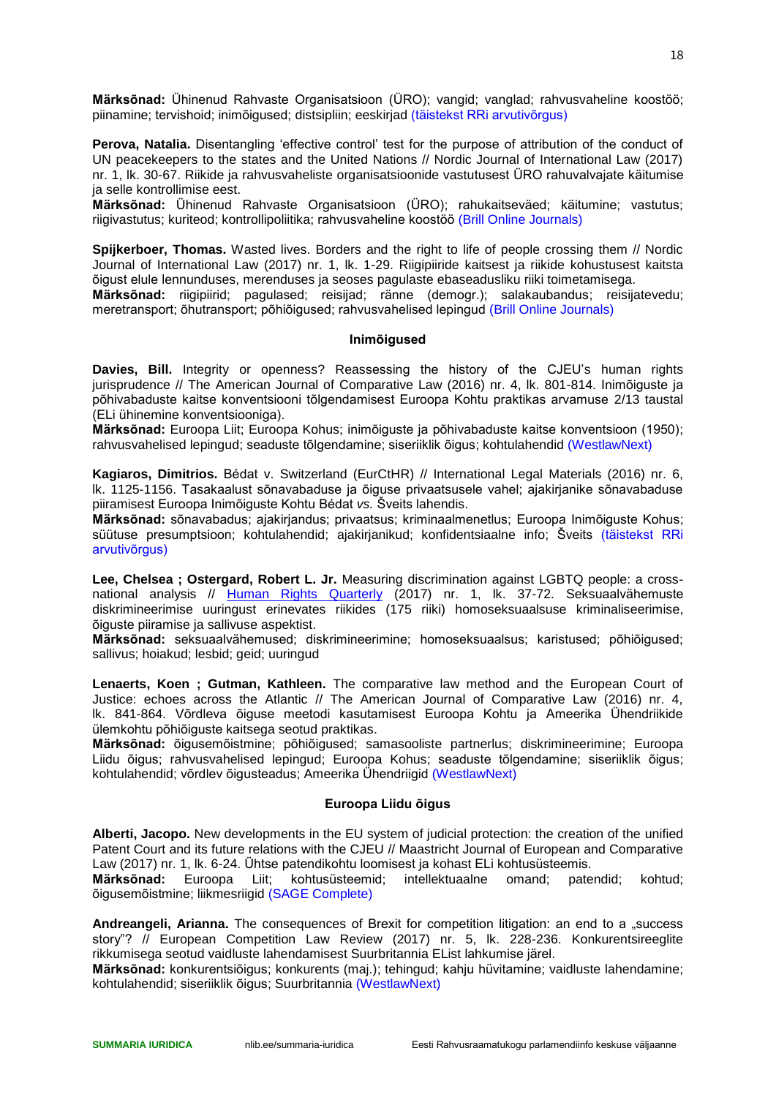**Märksõnad:** Ühinenud Rahvaste Organisatsioon (ÜRO); vangid; vanglad; rahvusvaheline koostöö; piinamine; tervishoid; inimõigused; distsipliin; eeskirjad (täistekst RRi arvutivõrgus)

**Perova, Natalia.** Disentangling 'effective control' test for the purpose of attribution of the conduct of UN peacekeepers to the states and the United Nations // Nordic Journal of International Law (2017) nr. 1, lk. 30-67. Riikide ja rahvusvaheliste organisatsioonide vastutusest ÜRO rahuvalvajate käitumise ja selle kontrollimise eest.

**Märksõnad:** Ühinenud Rahvaste Organisatsioon (ÜRO); rahukaitseväed; käitumine; vastutus; riigivastutus; kuriteod; kontrollipoliitika; rahvusvaheline koostöö (Brill Online Journals)

**Spijkerboer, Thomas.** Wasted lives. Borders and the right to life of people crossing them // Nordic Journal of International Law (2017) nr. 1, lk. 1-29. Riigipiiride kaitsest ja riikide kohustusest kaitsta õigust elule lennunduses, merenduses ja seoses pagulaste ebaseadusliku riiki toimetamisega.

**Märksõnad:** riigipiirid; pagulased; reisijad; ränne (demogr.); salakaubandus; reisijatevedu; meretransport; õhutransport; põhiõigused; rahvusvahelised lepingud (Brill Online Journals)

#### **Inimõigused**

<span id="page-17-0"></span>**Davies, Bill.** Integrity or openness? Reassessing the history of the CJEU's human rights jurisprudence // The American Journal of Comparative Law (2016) nr. 4, lk. 801-814. Inimõiguste ja põhivabaduste kaitse konventsiooni tõlgendamisest Euroopa Kohtu praktikas arvamuse 2/13 taustal (ELi ühinemine konventsiooniga).

**Märksõnad:** Euroopa Liit; Euroopa Kohus; inimõiguste ja põhivabaduste kaitse konventsioon (1950); rahvusvahelised lepingud; seaduste tõlgendamine; siseriiklik õigus; kohtulahendid (WestlawNext)

**Kagiaros, Dimitrios.** Bédat v. Switzerland (EurCtHR) // International Legal Materials (2016) nr. 6, lk. 1125-1156. Tasakaalust sõnavabaduse ja õiguse privaatsusele vahel; ajakirjanike sõnavabaduse piiramisest Euroopa Inimõiguste Kohtu Bédat *vs.* Šveits lahendis.

**Märksõnad:** sõnavabadus; ajakirjandus; privaatsus; kriminaalmenetlus; Euroopa Inimõiguste Kohus; süütuse presumptsioon; kohtulahendid; ajakirjanikud; konfidentsiaalne info; Šveits (täistekst RRi arvutivõrgus)

**Lee, Chelsea ; Ostergard, Robert L. Jr.** Measuring discrimination against LGBTQ people: a cross-national analysis // [Human Rights Quarterly](http://www.ester.ee/record=b1182199*est) (2017) nr. 1, lk. 37-72. Seksuaalvähemuste diskrimineerimise uuringust erinevates riikides (175 riiki) homoseksuaalsuse kriminaliseerimise, õiguste piiramise ja sallivuse aspektist.

**Märksõnad:** seksuaalvähemused; diskrimineerimine; homoseksuaalsus; karistused; põhiõigused; sallivus; hoiakud; lesbid; geid; uuringud

**Lenaerts, Koen ; Gutman, Kathleen.** The comparative law method and the European Court of Justice: echoes across the Atlantic // The American Journal of Comparative Law (2016) nr. 4, lk. 841-864. Võrdleva õiguse meetodi kasutamisest Euroopa Kohtu ja Ameerika Ühendriikide ülemkohtu põhiõiguste kaitsega seotud praktikas.

**Märksõnad:** õigusemõistmine; põhiõigused; samasooliste partnerlus; diskrimineerimine; Euroopa Liidu õigus; rahvusvahelised lepingud; Euroopa Kohus; seaduste tõlgendamine; siseriiklik õigus; kohtulahendid; võrdlev õigusteadus; Ameerika Ühendriigid (WestlawNext)

#### **Euroopa Liidu õigus**

<span id="page-17-1"></span>**Alberti, Jacopo.** New developments in the EU system of judicial protection: the creation of the unified Patent Court and its future relations with the CJEU // Maastricht Journal of European and Comparative Law (2017) nr. 1, lk. 6-24. Ühtse patendikohtu loomisest ja kohast ELi kohtusüsteemis.

**Märksõnad:** Euroopa Liit; kohtusüsteemid; intellektuaalne omand; patendid; kohtud; õigusemõistmine; liikmesriigid (SAGE Complete)

**Andreangeli, Arianna.** The consequences of Brexit for competition litigation: an end to a "success story"? // European Competition Law Review (2017) nr. 5, lk. 228-236. Konkurentsireeglite rikkumisega seotud vaidluste lahendamisest Suurbritannia EList lahkumise järel.

**Märksõnad:** konkurentsiõigus; konkurents (maj.); tehingud; kahju hüvitamine; vaidluste lahendamine; kohtulahendid; siseriiklik õigus; Suurbritannia (WestlawNext)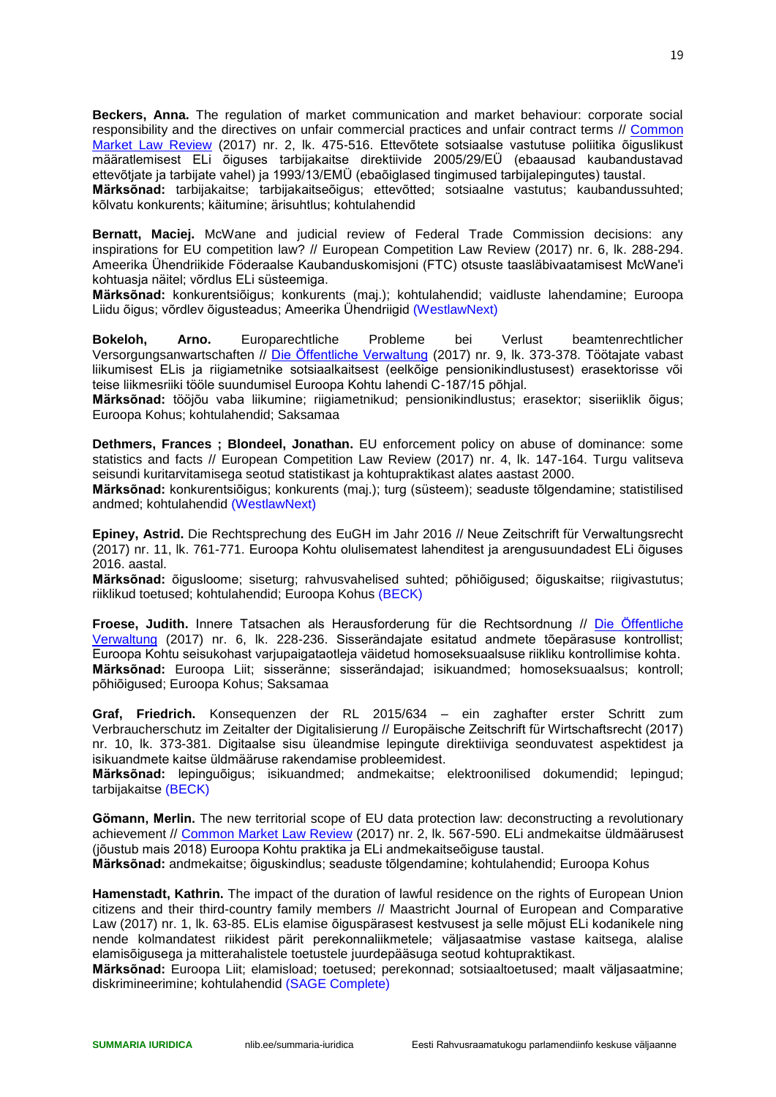**Beckers, Anna.** The regulation of market communication and market behaviour: corporate social responsibility and the directives on unfair commercial practices and unfair contract terms // [Common](http://www.ester.ee/record=b1161661*est)  [Market Law Review](http://www.ester.ee/record=b1161661*est) (2017) nr. 2, lk. 475-516. Ettevõtete sotsiaalse vastutuse poliitika õiguslikust määratlemisest ELi õiguses tarbijakaitse direktiivide 2005/29/EÜ (ebaausad kaubandustavad ettevõtjate ja tarbijate vahel) ja 1993/13/EMÜ (ebaõiglased tingimused tarbijalepingutes) taustal. **Märksõnad:** tarbijakaitse; tarbijakaitseõigus; ettevõtted; sotsiaalne vastutus; kaubandussuhted; kõlvatu konkurents; käitumine; ärisuhtlus; kohtulahendid

**Bernatt, Maciej.** McWane and judicial review of Federal Trade Commission decisions: any inspirations for EU competition law? // European Competition Law Review (2017) nr. 6, lk. 288-294. Ameerika Ühendriikide Föderaalse Kaubanduskomisjoni (FTC) otsuste taasläbivaatamisest McWane'i kohtuasja näitel; võrdlus ELi süsteemiga.

**Märksõnad:** konkurentsiõigus; konkurents (maj.); kohtulahendid; vaidluste lahendamine; Euroopa Liidu õigus; võrdlev õigusteadus; Ameerika Ühendriigid (WestlawNext)

**Bokeloh, Arno.** Europarechtliche Probleme bei Verlust beamtenrechtlicher Versorgungsanwartschaften // [Die Öffentliche Verwaltung](http://www.ester.ee/record=b1199986*est) (2017) nr. 9, lk. 373-378. Töötajate vabast liikumisest ELis ja riigiametnike sotsiaalkaitsest (eelkõige pensionikindlustusest) erasektorisse või teise liikmesriiki tööle suundumisel Euroopa Kohtu lahendi C-187/15 põhjal.

**Märksõnad:** tööjõu vaba liikumine; riigiametnikud; pensionikindlustus; erasektor; siseriiklik õigus; Euroopa Kohus; kohtulahendid; Saksamaa

**Dethmers, Frances ; Blondeel, Jonathan.** EU enforcement policy on abuse of dominance: some statistics and facts // European Competition Law Review (2017) nr. 4, lk. 147-164. Turgu valitseva seisundi kuritarvitamisega seotud statistikast ja kohtupraktikast alates aastast 2000.

**Märksõnad:** konkurentsiõigus; konkurents (maj.); turg (süsteem); seaduste tõlgendamine; statistilised andmed; kohtulahendid (WestlawNext)

**Epiney, Astrid.** Die Rechtsprechung des EuGH im Jahr 2016 // Neue Zeitschrift für Verwaltungsrecht (2017) nr. 11, lk. 761-771. Euroopa Kohtu olulisematest lahenditest ja arengusuundadest ELi õiguses 2016. aastal.

**Märksõnad:** õigusloome; siseturg; rahvusvahelised suhted; põhiõigused; õiguskaitse; riigivastutus; riiklikud toetused; kohtulahendid; Euroopa Kohus (BECK)

**Froese, Judith.** Innere Tatsachen als Herausforderung für die Rechtsordnung // [Die Öffentliche](http://www.ester.ee/record=b1199986*est)  [Verwaltung](http://www.ester.ee/record=b1199986*est) (2017) nr. 6, lk. 228-236. Sisserändajate esitatud andmete tõepärasuse kontrollist; Euroopa Kohtu seisukohast varjupaigataotleja väidetud homoseksuaalsuse riikliku kontrollimise kohta. **Märksõnad:** Euroopa Liit; sisseränne; sisserändajad; isikuandmed; homoseksuaalsus; kontroll; põhiõigused; Euroopa Kohus; Saksamaa

**Graf, Friedrich.** Konsequenzen der RL 2015/634 – ein zaghafter erster Schritt zum Verbraucherschutz im Zeitalter der Digitalisierung // Europäische Zeitschrift für Wirtschaftsrecht (2017) nr. 10, lk. 373-381. Digitaalse sisu üleandmise lepingute direktiiviga seonduvatest aspektidest ja isikuandmete kaitse üldmääruse rakendamise probleemidest.

**Märksõnad:** lepinguõigus; isikuandmed; andmekaitse; elektroonilised dokumendid; lepingud; tarbijakaitse (BECK)

**Gömann, Merlin.** The new territorial scope of EU data protection law: deconstructing a revolutionary achievement // [Common Market Law Review](http://www.ester.ee/record=b1161661*est) (2017) nr. 2, lk. 567-590. ELi andmekaitse üldmäärusest (jõustub mais 2018) Euroopa Kohtu praktika ja ELi andmekaitseõiguse taustal.

**Märksõnad:** andmekaitse; õiguskindlus; seaduste tõlgendamine; kohtulahendid; Euroopa Kohus

**Hamenstadt, Kathrin.** The impact of the duration of lawful residence on the rights of European Union citizens and their third-country family members // Maastricht Journal of European and Comparative Law (2017) nr. 1, lk. 63-85. ELis elamise õiguspärasest kestvusest ja selle mõjust ELi kodanikele ning nende kolmandatest riikidest pärit perekonnaliikmetele; väljasaatmise vastase kaitsega, alalise elamisõigusega ja mitterahalistele toetustele juurdepääsuga seotud kohtupraktikast.

**Märksõnad:** Euroopa Liit; elamisload; toetused; perekonnad; sotsiaaltoetused; maalt väljasaatmine; diskrimineerimine; kohtulahendid (SAGE Complete)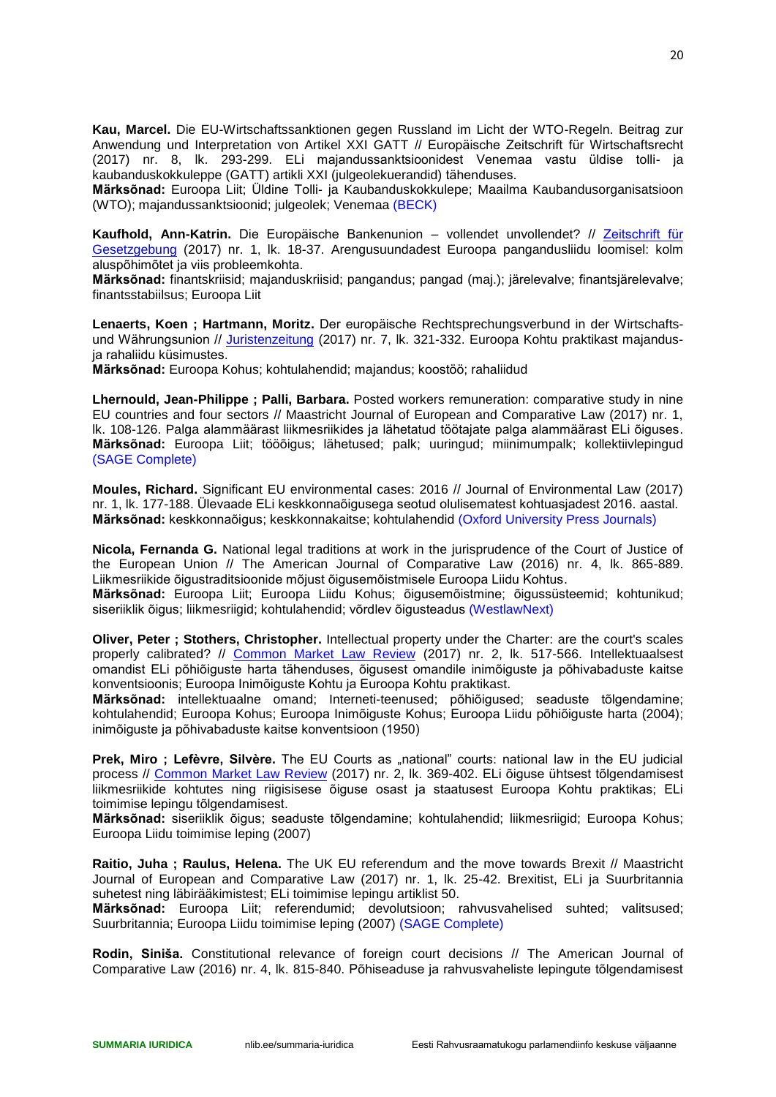**Kau, Marcel.** Die EU-Wirtschaftssanktionen gegen Russland im Licht der WTO-Regeln. Beitrag zur Anwendung und Interpretation von Artikel XXI GATT // Europäische Zeitschrift für Wirtschaftsrecht (2017) nr. 8, lk. 293-299. ELi majandussanktsioonidest Venemaa vastu üldise tolli- ja kaubanduskokkuleppe (GATT) artikli XXI (julgeolekuerandid) tähenduses.

**Märksõnad:** Euroopa Liit; Üldine Tolli- ja Kaubanduskokkulepe; Maailma Kaubandusorganisatsioon (WTO); majandussanktsioonid; julgeolek; Venemaa (BECK)

**Kaufhold, Ann-Katrin.** Die Europäische Bankenunion – vollendet unvollendet? // [Zeitschrift für](http://www.ester.ee/record=b1438633*est)  [Gesetzgebung](http://www.ester.ee/record=b1438633*est) (2017) nr. 1, lk. 18-37. Arengusuundadest Euroopa pangandusliidu loomisel: kolm aluspõhimõtet ja viis probleemkohta.

**Märksõnad:** finantskriisid; majanduskriisid; pangandus; pangad (maj.); järelevalve; finantsjärelevalve; finantsstabiilsus; Euroopa Liit

**Lenaerts, Koen ; Hartmann, Moritz.** Der europäische Rechtsprechungsverbund in der Wirtschaftsund Währungsunion // [Juristenzeitung](http://www.ester.ee/record=b1201037*est) (2017) nr. 7, lk. 321-332. Euroopa Kohtu praktikast majandusja rahaliidu küsimustes.

**Märksõnad:** Euroopa Kohus; kohtulahendid; majandus; koostöö; rahaliidud

**Lhernould, Jean-Philippe ; Palli, Barbara.** Posted workers remuneration: comparative study in nine EU countries and four sectors // Maastricht Journal of European and Comparative Law (2017) nr. 1, lk. 108-126. Palga alammäärast liikmesriikides ja lähetatud töötajate palga alammäärast ELi õiguses. **Märksõnad:** Euroopa Liit; tööõigus; lähetused; palk; uuringud; miinimumpalk; kollektiivlepingud (SAGE Complete)

**Moules, Richard.** Significant EU environmental cases: 2016 // Journal of Environmental Law (2017) nr. 1, lk. 177-188. Ülevaade ELi keskkonnaõigusega seotud olulisematest kohtuasjadest 2016. aastal. **Märksõnad:** keskkonnaõigus; keskkonnakaitse; kohtulahendid (Oxford University Press Journals)

**Nicola, Fernanda G.** National legal traditions at work in the jurisprudence of the Court of Justice of the European Union // The American Journal of Comparative Law (2016) nr. 4, lk. 865-889. Liikmesriikide õigustraditsioonide mõjust õigusemõistmisele Euroopa Liidu Kohtus.

**Märksõnad:** Euroopa Liit; Euroopa Liidu Kohus; õigusemõistmine; õigussüsteemid; kohtunikud; siseriiklik õigus; liikmesriigid; kohtulahendid; võrdlev õigusteadus (WestlawNext)

**Oliver, Peter ; Stothers, Christopher.** Intellectual property under the Charter: are the court's scales properly calibrated? // [Common Market Law Review](http://www.ester.ee/record=b1161661*est) (2017) nr. 2, lk. 517-566. Intellektuaalsest omandist ELi põhiõiguste harta tähenduses, õigusest omandile inimõiguste ja põhivabaduste kaitse konventsioonis; Euroopa Inimõiguste Kohtu ja Euroopa Kohtu praktikast.

**Märksõnad:** intellektuaalne omand; Interneti-teenused; põhiõigused; seaduste tõlgendamine; kohtulahendid; Euroopa Kohus; Euroopa Inimõiguste Kohus; Euroopa Liidu põhiõiguste harta (2004); inimõiguste ja põhivabaduste kaitse konventsioon (1950)

Prek, Miro ; Lefèvre, Silvère. The EU Courts as "national" courts: national law in the EU judicial process // [Common Market Law Review](http://www.ester.ee/record=b1161661*est) (2017) nr. 2, lk. 369-402. ELi õiguse ühtsest tõlgendamisest liikmesriikide kohtutes ning riigisisese õiguse osast ja staatusest Euroopa Kohtu praktikas; ELi toimimise lepingu tõlgendamisest.

**Märksõnad:** siseriiklik õigus; seaduste tõlgendamine; kohtulahendid; liikmesriigid; Euroopa Kohus; Euroopa Liidu toimimise leping (2007)

**Raitio, Juha ; Raulus, Helena.** The UK EU referendum and the move towards Brexit // Maastricht Journal of European and Comparative Law (2017) nr. 1, lk. 25-42. Brexitist, ELi ja Suurbritannia suhetest ning läbirääkimistest; ELi toimimise lepingu artiklist 50.

**Märksõnad:** Euroopa Liit; referendumid; devolutsioon; rahvusvahelised suhted; valitsused; Suurbritannia; Euroopa Liidu toimimise leping (2007) (SAGE Complete)

**Rodin, Siniša.** Constitutional relevance of foreign court decisions // The American Journal of Comparative Law (2016) nr. 4, lk. 815-840. Põhiseaduse ja rahvusvaheliste lepingute tõlgendamisest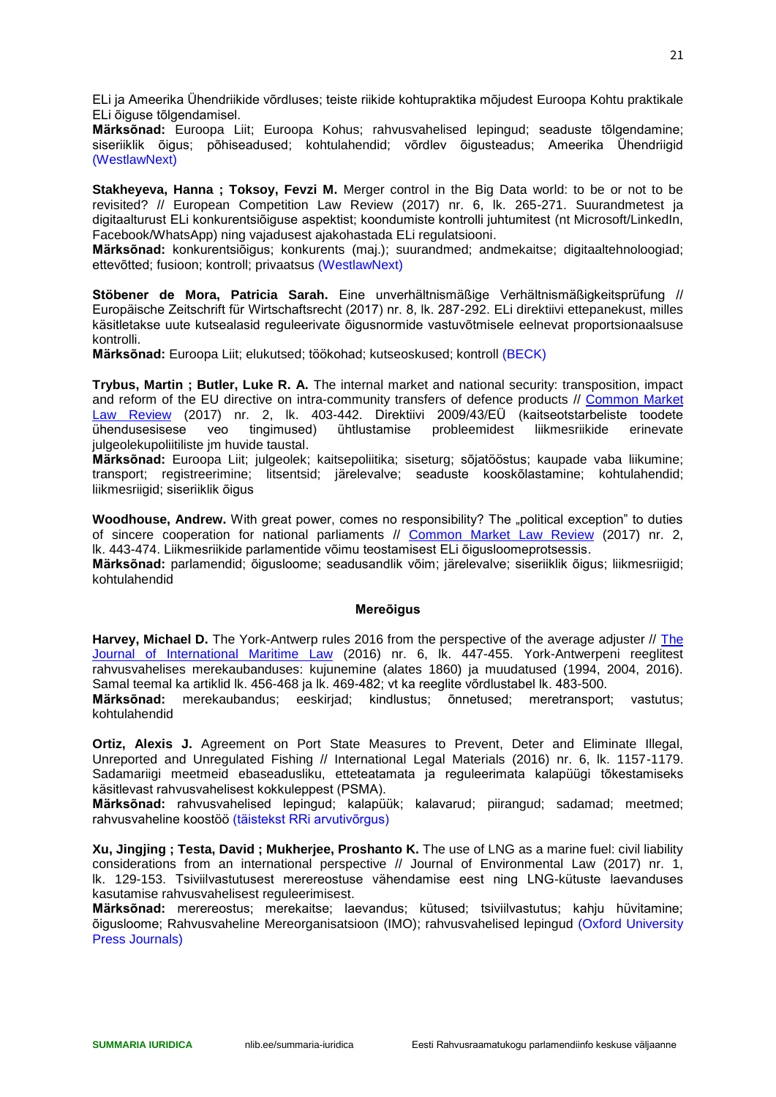ELi ja Ameerika Ühendriikide võrdluses; teiste riikide kohtupraktika mõjudest Euroopa Kohtu praktikale ELi õiguse tõlgendamisel.

**Märksõnad:** Euroopa Liit; Euroopa Kohus; rahvusvahelised lepingud; seaduste tõlgendamine; siseriiklik õigus; põhiseadused; kohtulahendid; võrdlev õigusteadus; Ameerika Ühendriigid (WestlawNext)

**Stakheyeva, Hanna ; Toksoy, Fevzi M.** Merger control in the Big Data world: to be or not to be revisited? // European Competition Law Review (2017) nr. 6, lk. 265-271. Suurandmetest ja digitaalturust ELi konkurentsiõiguse aspektist; koondumiste kontrolli juhtumitest (nt Microsoft/LinkedIn, Facebook/WhatsApp) ning vajadusest ajakohastada ELi regulatsiooni.

**Märksõnad:** konkurentsiõigus; konkurents (maj.); suurandmed; andmekaitse; digitaaltehnoloogiad; ettevõtted; fusioon; kontroll; privaatsus (WestlawNext)

**Stöbener de Mora, Patricia Sarah.** Eine unverhältnismäßige Verhältnismäßigkeitsprüfung // Europäische Zeitschrift für Wirtschaftsrecht (2017) nr. 8, lk. 287-292. ELi direktiivi ettepanekust, milles käsitletakse uute kutsealasid reguleerivate õigusnormide vastuvõtmisele eelnevat proportsionaalsuse kontrolli.

**Märksõnad:** Euroopa Liit; elukutsed; töökohad; kutseoskused; kontroll (BECK)

**Trybus, Martin ; Butler, Luke R. A.** The internal market and national security: transposition, impact and reform of the EU directive on intra-community transfers of defence products // [Common Market](http://www.ester.ee/record=b1161661*est)  [Law Review](http://www.ester.ee/record=b1161661*est) (2017) nr. 2, lk. 403-442. Direktiivi 2009/43/EÜ (kaitseotstarbeliste toodete ühendusesisese veo tingimused) ühtlustamise probleemidest liikmesriikide erinevate julgeolekupoliitiliste jm huvide taustal.

**Märksõnad:** Euroopa Liit; julgeolek; kaitsepoliitika; siseturg; sõjatööstus; kaupade vaba liikumine; transport; registreerimine; litsentsid; järelevalve; seaduste kooskõlastamine; kohtulahendid; liikmesriigid; siseriiklik õigus

**Woodhouse, Andrew.** With great power, comes no responsibility? The .political exception" to duties of sincere cooperation for national parliaments // [Common Market Law Review](http://www.ester.ee/record=b1161661*est) (2017) nr. 2, lk. 443-474. Liikmesriikide parlamentide võimu teostamisest ELi õigusloomeprotsessis.

**Märksõnad:** parlamendid; õigusloome; seadusandlik võim; järelevalve; siseriiklik õigus; liikmesriigid; kohtulahendid

#### **Mereõigus**

<span id="page-20-0"></span>**Harvey, Michael D.** The York-Antwerp rules 2016 from the perspective of the average adjuster // [The](http://www.ester.ee/record=b1750332*est)  [Journal of International Maritime Law](http://www.ester.ee/record=b1750332*est) (2016) nr. 6, lk. 447-455. York-Antwerpeni reeglitest rahvusvahelises merekaubanduses: kujunemine (alates 1860) ja muudatused (1994, 2004, 2016). Samal teemal ka artiklid lk. 456-468 ja lk. 469-482; vt ka reeglite võrdlustabel lk. 483-500.

**Märksõnad:** merekaubandus; eeskirjad; kindlustus; õnnetused; meretransport; vastutus; kohtulahendid

**Ortiz, Alexis J.** Agreement on Port State Measures to Prevent, Deter and Eliminate Illegal, Unreported and Unregulated Fishing // International Legal Materials (2016) nr. 6, lk. 1157-1179. Sadamariigi meetmeid ebaseadusliku, etteteatamata ja reguleerimata kalapüügi tõkestamiseks käsitlevast rahvusvahelisest kokkuleppest (PSMA).

**Märksõnad:** rahvusvahelised lepingud; kalapüük; kalavarud; piirangud; sadamad; meetmed; rahvusvaheline koostöö (täistekst RRi arvutivõrgus)

**Xu, Jingjing ; Testa, David ; Mukherjee, Proshanto K.** The use of LNG as a marine fuel: civil liability considerations from an international perspective // Journal of Environmental Law (2017) nr. 1, lk. 129-153. Tsiviilvastutusest merereostuse vähendamise eest ning LNG-kütuste laevanduses kasutamise rahvusvahelisest reguleerimisest.

**Märksõnad:** merereostus; merekaitse; laevandus; kütused; tsiviilvastutus; kahju hüvitamine; õigusloome; Rahvusvaheline Mereorganisatsioon (IMO); rahvusvahelised lepingud (Oxford University Press Journals)